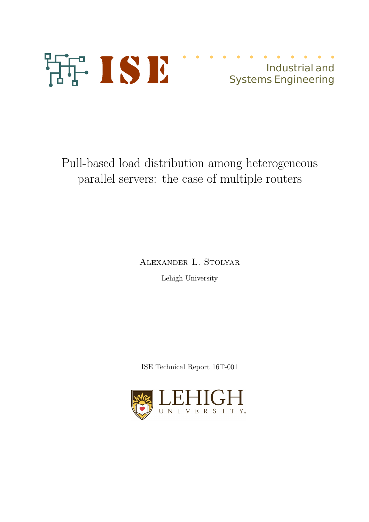

Industrial and Systems Engineering

Pull-based load distribution among heterogeneous parallel servers: the case of multiple routers

Alexander L. Stolyar

Lehigh University

ISE Technical Report 16T-001

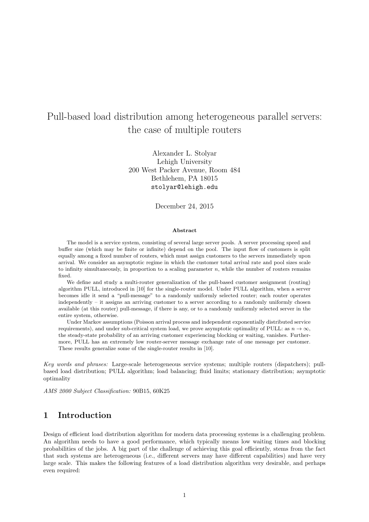# Pull-based load distribution among heterogeneous parallel servers: the case of multiple routers

Alexander L. Stolyar Lehigh University 200 West Packer Avenue, Room 484 Bethlehem, PA 18015 stolyar@lehigh.edu

December 24, 2015

#### Abstract

The model is a service system, consisting of several large server pools. A server processing speed and buffer size (which may be finite or infinite) depend on the pool. The input flow of customers is split equally among a fixed number of routers, which must assign customers to the servers immediately upon arrival. We consider an asymptotic regime in which the customer total arrival rate and pool sizes scale to infinity simultaneously, in proportion to a scaling parameter  $n$ , while the number of routers remains fixed.

We define and study a multi-router generalization of the pull-based customer assignment (routing) algorithm PULL, introduced in [10] for the single-router model. Under PULL algorithm, when a server becomes idle it send a "pull-message" to a randomly uniformly selected router; each router operates independently – it assigns an arriving customer to a server according to a randomly uniformly chosen available (at this router) pull-message, if there is any, or to a randomly uniformly selected server in the entire system, otherwise.

Under Markov assumptions (Poisson arrival process and independent exponentially distributed service requirements), and under sub-critical system load, we prove asymptotic optimality of PULL: as  $n \to \infty$ , the steady-state probability of an arriving customer experiencing blocking or waiting, vanishes. Furthermore, PULL has an extremely low router-server message exchange rate of one message per customer. These results generalize some of the single-router results in [10].

Key words and phrases: Large-scale heterogeneous service systems; multiple routers (dispatchers); pullbased load distribution; PULL algorithm; load balancing; fluid limits; stationary distribution; asymptotic optimality

AMS 2000 Subject Classification: 90B15, 60K25

# 1 Introduction

Design of efficient load distribution algorithm for modern data processing systems is a challenging problem. An algorithm needs to have a good performance, which typically means low waiting times and blocking probabilities of the jobs. A big part of the challenge of achieving this goal efficiently, stems from the fact that such systems are heterogeneous (i.e., different servers may have different capabilities) and have very large scale. This makes the following features of a load distribution algorithm very desirable, and perhaps even required: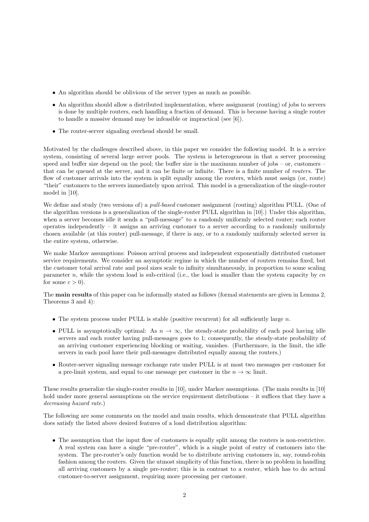- An algorithm should be oblivious of the server types as much as possible.
- An algorithm should allow a distributed implementation, where assignment (routing) of jobs to servers is done by multiple routers, each handling a fraction of demand. This is because having a single router to handle a massive demand may be infeasible or impractical (see [6]).
- The router-server signaling overhead should be small.

Motivated by the challenges described above, in this paper we consider the following model. It is a service system, consisting of several large server pools. The system is heterogeneous in that a server processing speed and buffer size depend on the pool; the buffer size is the maximum number of jobs – or, customers – that can be queued at the server, and it can be finite or infinite. There is a finite number of routers. The flow of customer arrivals into the system is split equally among the routers, which must assign (or, route) "their" customers to the servers immediately upon arrival. This model is a generalization of the single-router model in [10].

We define and study (two versions of) a *pull-based* customer assignment (routing) algorithm PULL. (One of the algorithm versions is a generalization of the single-router PULL algorithm in [10].) Under this algorithm, when a server becomes idle it sends a "pull-message" to a randomly uniformly selected router; each router operates independently – it assigns an arriving customer to a server according to a randomly uniformly chosen available (at this router) pull-message, if there is any, or to a randomly uniformly selected server in the entire system, otherwise.

We make Markov assumptions: Poisson arrival process and independent exponentially distributed customer service requirements. We consider an asymptotic regime in which the number of routers remains fixed, but the customer total arrival rate and pool sizes scale to infinity simultaneously, in proportion to some scaling parameter n, while the system load is sub-critical (i.e., the load is smaller than the system capacity by  $cn$ for some  $c > 0$ .

The main results of this paper can be informally stated as follows (formal statements are given in Lemma 2, Theorems 3 and 4):

- The system process under PULL is stable (positive recurrent) for all sufficiently large  $n$ .
- PULL is asymptotically optimal: As  $n \to \infty$ , the steady-state probability of each pool having idle servers and each router having pull-messages goes to 1; consequently, the steady-state probability of an arriving customer experiencing blocking or waiting, vanishes. (Furthermore, in the limit, the idle servers in each pool have their pull-messages distributed equally among the routers.)
- Router-server signaling message exchange rate under PULL is at most two messages per customer for a pre-limit system, and equal to one message per customer in the  $n \to \infty$  limit.

These results generalize the single-router results in [10], under Markov assumptions. (The main results in [10] hold under more general assumptions on the service requirement distributions – it suffices that they have a decreasing hazard rate.)

The following are some comments on the model and main results, which demonstrate that PULL algorithm does satisfy the listed above desired features of a load distribution algorithm:

• The assumption that the input flow of customers is equally split among the routers is non-restrictive. A real system can have a single "pre-router", which is a single point of entry of customers into the system. The pre-router's only function would be to distribute arriving customers in, say, round-robin fashion among the routers. Given the utmost simplicity of this function, there is no problem in handling all arriving customers by a single pre-router; this is in contrast to a router, which has to do actual customer-to-server assignment, requiring more processing per customer.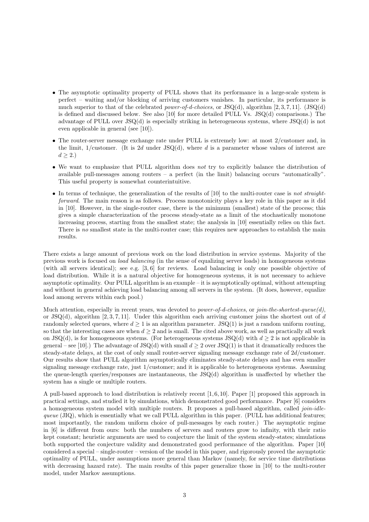- The asymptotic optimality property of PULL shows that its performance in a large-scale system is perfect – waiting and/or blocking of arriving customers vanishes. In particular, its performance is much superior to that of the celebrated power-of-d-choices, or JSQ(d), algorithm [2, 3, 7, 11]. (JSQ(d) is defined and discussed below. See also [10] for more detailed PULL Vs. JSQ(d) comparisons.) The advantage of PULL over JSQ(d) is especially striking in heterogeneous systems, where JSQ(d) is not even applicable in general (see [10]).
- The router-server message exchange rate under PULL is extremely low: at most 2/customer and, in the limit,  $1$ /customer. (It is  $2d$  under JSQ(d), where d is a parameter whose values of interest are  $d > 2.$
- We want to emphasize that PULL algorithm does not try to explicitly balance the distribution of available pull-messages among routers – a perfect (in the limit) balancing occurs "automatically". This useful property is somewhat counterintuitive.
- In terms of technique, the generalization of the results of  $[10]$  to the multi-router case is not straightforward. The main reason is as follows. Process monotonicity plays a key role in this paper as it did in [10]. However, in the single-router case, there is the minimum (smallest) state of the process; this gives a simple characterization of the process steady-state as a limit of the stochastically monotone increasing process, starting from the smallest state; the analysis in [10] essentially relies on this fact. There is no smallest state in the multi-router case; this requires new approaches to establish the main results.

There exists a large amount of previous work on the load distribution in service systems. Majority of the previous work is focused on load balancing (in the sense of equalizing server loads) in homogeneous systems (with all servers identical); see e.g. [3, 6] for reviews. Load balancing is only one possible objective of load distribution. While it is a natural objective for homogeneous systems, it is not necessary to achieve asymptotic optimality. Our PULL algorithm is an example – it is asymptotically optimal, without attempting and without in general achieving load balancing among all servers in the system. (It does, however, equalize load among servers within each pool.)

Much attention, especially in recent years, was devoted to *power-of-d-choices*, or *join-the-shortest-queue(d)*, or JSQ(d), algorithm  $[2, 3, 7, 11]$ . Under this algorithm each arriving customer joins the shortest out of d randomly selected queues, where  $d \geq 1$  is an algorithm parameter. JSQ(1) is just a random uniform routing, so that the interesting cases are when  $d \geq 2$  and is small. The cited above work, as well as practically all work on JSQ(d), is for homogeneous systems. (For heterogeneous systems JSQ(d) with  $d \geq 2$  is not applicable in general – see [10].) The advantage of JSQ(d) with small  $d \geq 2$  over JSQ(1) is that it dramatically reduces the steady-state delays, at the cost of only small router-server signaling message exchange rate of 2d/customer. Our results show that PULL algorithm asymptotically eliminates steady-state delays and has even smaller signaling message exchange rate, just 1/customer; and it is applicable to heterogeneous systems. Assuming the queue-length queries/responses are instantaneous, the JSQ(d) algorithm is unaffected by whether the system has a single or multiple routers.

A pull-based approach to load distribution is relatively recent [1, 6, 10]. Paper [1] proposed this approach in practical settings, and studied it by simulations, which demonstrated good performance. Paper [6] considers a homogeneous system model with multiple routers. It proposes a pull-based algorithm, called join-idlequeue (JIQ), which is essentially what we call PULL algorithm in this paper. (PULL has additional features; most importantly, the random uniform choice of pull-messages by each router.) The asymptotic regime in [6] is different from ours: both the numbers of servers and routers grow to infinity, with their ratio kept constant; heuristic arguments are used to conjecture the limit of the system steady-states; simulations both supported the conjecture validity and demonstrated good performance of the algorithm. Paper [10] considered a special – single-router – version of the model in this paper, and rigorously proved the asymptotic optimality of PULL, under assumptions more general than Markov (namely, for service time distributions with decreasing hazard rate). The main results of this paper generalize those in [10] to the multi-router model, under Markov assumptions.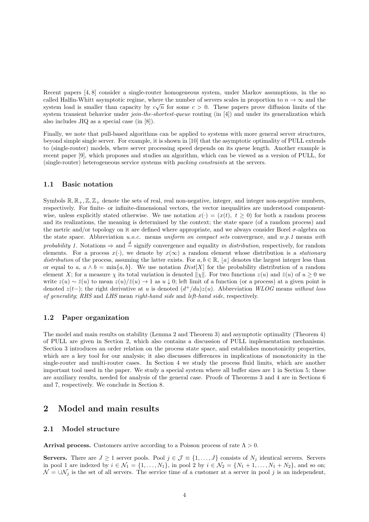Recent papers [4, 8] consider a single-router homogeneous system, under Markov assumptions, in the so called Halfin-Whitt asymptotic regime, where the number of servers scales in proportion to  $n \to \infty$  and the system load is smaller than capacity by  $c\sqrt{n}$  for some  $c > 0$ . These papers prove diffusion limits of the system transient behavior under *join-the-shortest-queue* routing (in [4]) and under its generalization which also includes JIQ as a special case (in [8]).

Finally, we note that pull-based algorithms can be applied to systems with more general server structures, beyond simple single server. For example, it is shown in [10] that the asymptotic optimality of PULL extends to (single-router) models, where server processing speed depends on its queue length. Another example is recent paper [9], which proposes and studies an algorithm, which can be viewed as a version of PULL, for (single-router) heterogeneous service systems with packing constraints at the servers.

### 1.1 Basic notation

Symbols  $\mathbb{R}, \mathbb{R}_+$ ,  $\mathbb{Z}, \mathbb{Z}_+$  denote the sets of real, real non-negative, integer, and integer non-negative numbers, respectively. For finite- or infinite-dimensional vectors, the vector inequalities are understood componentwise, unless explicitly stated otherwise. We use notation  $x(\cdot) = (x(t), t > 0)$  for both a random process and its realizations, the meaning is determined by the context; the state space (of a random process) and the metric and/or topology on it are defined where appropriate, and we always consider Borel σ-algebra on the state space. Abbreviation u.o.c. means uniform on compact sets convergence, and  $w.p.1$  means with probability 1. Notations  $\Rightarrow$  and  $\stackrel{d}{=}$  signify convergence and equality in distribution, respectively, for random elements. For a process  $x(\cdot)$ , we denote by  $x(\infty)$  a random element whose distribution is a *stationary* distribution of the process, assuming the latter exists. For  $a, b \in \mathbb{R}$ , |a| denotes the largest integer less than or equal to a,  $a \wedge b = \min\{a, b\}$ . We use notation  $Dist[X]$  for the probability distribution of a random element X; for a measure  $\chi$  its total variation is denoted  $\|\chi\|$ . For two functions  $z(u)$  and  $\bar{z}(u)$  of  $u \ge 0$  we write  $z(u) \sim \bar{z}(u)$  to mean  $z(u)/\bar{z}(u) \to 1$  as  $u \downarrow 0$ ; left limit of a function (or a process) at a given point is denoted  $z(t-)$ ; the right derivative at u is denoted  $(d^+/du)z(u)$ . Abbreviation WLOG means without loss of generality; RHS and LHS mean right-hand side and left-hand side, respectively.

### 1.2 Paper organization

The model and main results on stability (Lemma 2 and Theorem 3) and asymptotic optimality (Theorem 4) of PULL are given in Section 2, which also contains a discussion of PULL implementation mechanisms. Section 3 introduces an order relation on the process state space, and establishes monotonicity properties, which are a key tool for our analysis; it also discusses differences in implications of monotonicity in the single-router and multi-router cases. In Section 4 we study the process fluid limits, which are another important tool used in the paper. We study a special system where all buffer sizes are 1 in Section 5; these are auxiliary results, needed for analysis of the general case. Proofs of Theorems 3 and 4 are in Sections 6 and 7, respectively. We conclude in Section 8.

# 2 Model and main results

## 2.1 Model structure

**Arrival process.** Customers arrive according to a Poisson process of rate  $\Lambda > 0$ .

**Servers.** There are  $J \geq 1$  server pools. Pool  $j \in \mathcal{J} \equiv \{1, \ldots, J\}$  consists of  $N_j$  identical servers. Servers in pool 1 are indexed by  $i \in \mathcal{N}_1 = \{1, ..., N_1\}$ , in pool 2 by  $i \in \mathcal{N}_2 = \{N_1 + 1, ..., N_1 + N_2\}$ , and so on;  $\mathcal{N} = \cup \mathcal{N}_j$  is the set of all servers. The service time of a customer at a server in pool j is an independent,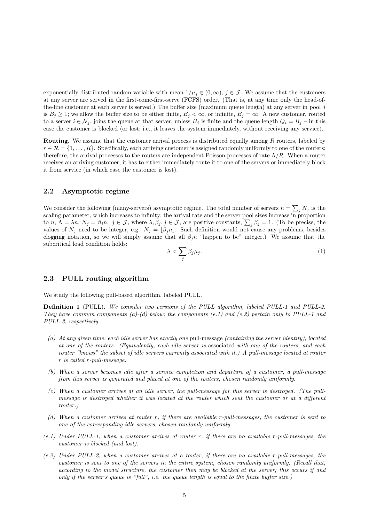exponentially distributed random variable with mean  $1/\mu_j \in (0,\infty)$ ,  $j \in \mathcal{J}$ . We assume that the customers at any server are served in the first-come-first-serve (FCFS) order. (That is, at any time only the head-ofthe-line customer at each server is served.) The buffer size (maximum queue length) at any server in pool  $j$ is  $B_j \geq 1$ ; we allow the buffer size to be either finite,  $B_j < \infty$ , or infinite,  $B_j = \infty$ . A new customer, routed to a server  $i \in \mathcal{N}_i$ , joins the queue at that server, unless  $B_i$  is finite and the queue length  $Q_i = B_i$  – in this case the customer is blocked (or lost; i.e., it leaves the system immediately, without receiving any service).

Routing. We assume that the customer arrival process is distributed equally among R routers, labeled by  $r \in \mathcal{R} = \{1, \ldots, R\}$ . Specifically, each arriving customer is assigned randomly uniformly to one of the routers; therefore, the arrival processes to the routers are independent Poisson processes of rate  $\Lambda/R$ . When a router receives an arriving customer, it has to either immediately route it to one of the servers or immediately block it from service (in which case the customer is lost).

### 2.2 Asymptotic regime

We consider the following (many-servers) asymptotic regime. The total number of servers  $n = \sum_j N_j$  is the scaling parameter, which increases to infinity; the arrival rate and the server pool sizes increase in proportion to  $n, \Lambda = \lambda n, N_j = \beta_j n, j \in \mathcal{J}$ , where  $\lambda, \beta_j, j \in \mathcal{J}$ , are positive constants,  $\sum_j \beta_j = 1$ . (To be precise, the values of  $N_j$  need to be integer, e.g.  $N_j = \lfloor \beta_j n \rfloor$ . Such definition would not cause any problems, besides clogging notation, so we will simply assume that all  $\beta_j n$  "happen to be" integer.) We assume that the subcritical load condition holds:

$$
\lambda < \sum_{j} \beta_j \mu_j. \tag{1}
$$

### 2.3 PULL routing algorithm

We study the following pull-based algorithm, labeled PULL.

**Definition 1** (PULL). We consider two versions of the PULL algorithm, labeled PULL-1 and PULL-2. They have common components (a)-(d) below; the components (e.1) and (e.2) pertain only to PULL-1 and PULL-2, respectively.

- (a) At any given time, each idle server has exactly one pull-message (containing the server identity), located at one of the routers. (Equivalently, each idle server is associated with one of the routers, and each router "knows" the subset of idle servers currently associated with it.) A pull-message located at router r is called r-pull-message.
- (b) When a server becomes idle after a service completion and departure of a customer, a pull-message from this server is generated and placed at one of the routers, chosen randomly uniformly.
- (c) When a customer arrives at an idle server, the pull-message for this server is destroyed. (The pullmessage is destroyed whether it was located at the router which sent the customer or at a different router.)
- (d) When a customer arrives at router r, if there are available r-pull-messages, the customer is sent to one of the corresponding idle servers, chosen randomly uniformly.
- $(e.1)$  Under PULL-1, when a customer arrives at router r, if there are no available r-pull-messages, the customer is blocked (and lost).
- (e.2) Under PULL-2, when a customer arrives at a router, if there are no available r-pull-messages, the customer is sent to one of the servers in the entire system, chosen randomly uniformly. (Recall that, according to the model structure, the customer then may be blocked at the server; this occurs if and only if the server's queue is "full", i.e. the queue length is equal to the finite buffer size.)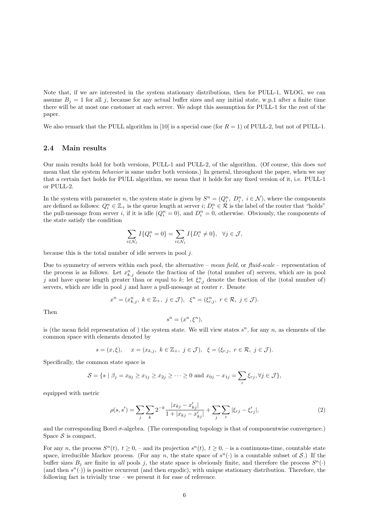Note that, if we are interested in the system stationary distributions, then for PULL-1, WLOG, we can assume  $B_i = 1$  for all j, because for any actual buffer sizes and any initial state, w.p.1 after a finite time there will be at most one customer at each server. We adopt this assumption for PULL-1 for the rest of the paper.

We also remark that the PULL algorithm in [10] is a special case (for  $R = 1$ ) of PULL-2, but not of PULL-1.

### 2.4 Main results

Our main results hold for both versions, PULL-1 and PULL-2, of the algorithm. (Of course, this does not mean that the system behavior is same under both versions.) In general, throughout the paper, when we say that a certain fact holds for PULL algorithm, we mean that it holds for any fixed version of it, i.e. PULL-1 or PULL-2.

In the system with parameter n, the system state is given by  $S^n = (Q_i^n, D_i^n, i \in \mathcal{N})$ , where the components are defined as follows:  $Q_i^n \in \mathbb{Z}_+$  is the queue length at server  $i; D_i^n \in \mathcal{R}$  is the label of the router that "holds" the pull-message from server *i*, if it is idle  $(Q_i^n = 0)$ , and  $D_i^n = 0$ , otherwise. Obviously, the components of the state satisfy the condition

$$
\sum_{i\in\mathcal{N}_j} I\{Q_i^n=0\} = \sum_{i\in\mathcal{N}_j} I\{D_i^n\neq 0\},\ \ \forall j\in\mathcal{J},
$$

because this is the total number of idle servers in pool j.

Due to symmetry of servers within each pool, the alternative – mean field, or fluid-scale – representation of the process is as follows. Let  $x_{k,j}^n$  denote the fraction of the (total number of) servers, which are in pool j and have queue length greater than or equal to k; let  $\xi_{r,j}^n$  denote the fraction of the (total number of) servers, which are idle in pool  $j$  and have a pull-message at router  $r$ . Denote

$$
x^n=(x^n_{k,j},\ k\in\mathbb{Z}_+,\ j\in\mathcal{J}),\ \ \xi^n=(\xi^n_{r,j},\ r\in\mathcal{R},\ j\in\mathcal{J}).
$$

Then

$$
s^n = (x^n, \xi^n),
$$

is (the mean field representation of) the system state. We will view states  $s^n$ , for any n, as elements of the common space with elements denoted by

$$
s = (x, \xi), \quad x = (x_{k,j}, \ k \in \mathbb{Z}_+, \ j \in \mathcal{J}), \ \ \xi = (\xi_{r,j}, \ r \in \mathcal{R}, \ j \in \mathcal{J}).
$$

Specifically, the common state space is

$$
\mathcal{S} = \{ s \mid \beta_j = x_{0j} \ge x_{1j} \ge x_{2j} \ge \cdots \ge 0 \text{ and } x_{0j} - x_{1j} = \sum_r \xi_{rj}, \forall j \in \mathcal{J} \},\
$$

equipped with metric

$$
\rho(s,s') = \sum_{j} \sum_{k} 2^{-k} \frac{|x_{kj} - x'_{kj}|}{1 + |x_{kj} - x'_{kj}|} + \sum_{j} \sum_{r} |\xi_{rj} - \xi'_{rj}|,\tag{2}
$$

and the corresponding Borel  $\sigma$ -algebra. (The corresponding topology is that of componentwise convergence.) Space  $S$  is compact.

For any n, the process  $S<sup>n</sup>(t)$ ,  $t \ge 0$ , – and its projection  $s<sup>n</sup>(t)$ ,  $t \ge 0$ , – is a continuous-time, countable state space, irreducible Markov process. (For any n, the state space of  $s^n(\cdot)$  is a countable subset of S.) If the buffer sizes  $B_j$  are finite in all pools j, the state space is obviously finite, and therefore the process  $S^n(\cdot)$ (and then  $s^n(\cdot)$ ) is positive recurrent (and then ergodic), with unique stationary distribution. Therefore, the following fact is trivially true – we present it for ease of reference.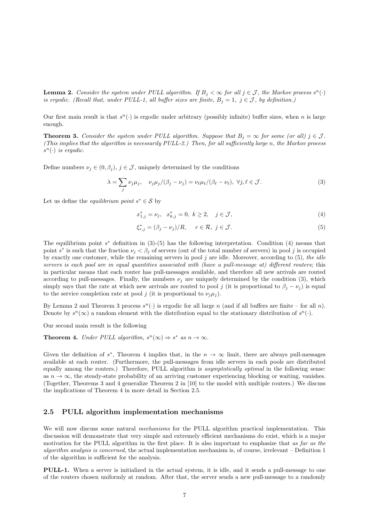**Lemma 2.** Consider the system under PULL algorithm. If  $B_j < \infty$  for all  $j \in \mathcal{J}$ , the Markov process  $s^n(\cdot)$ is ergodic. (Recall that, under PULL-1, all buffer sizes are finite,  $B_i = 1, j \in \mathcal{J}$ , by definition.)

Our first main result is that  $s^n(\cdot)$  is ergodic under arbitrary (possibly infinite) buffer sizes, when n is large enough.

**Theorem 3.** Consider the system under PULL algorithm. Suppose that  $B_j = \infty$  for some (or all)  $j \in \mathcal{J}$ . (This implies that the algorithm is necessarily PULL-2.) Then, for all sufficiently large n, the Markov process  $s^n(\cdot)$  is ergodic.

Define numbers  $\nu_i \in (0, \beta_i), \, j \in \mathcal{J}$ , uniquely determined by the conditions

$$
\lambda = \sum_{j} \nu_j \mu_j, \quad \nu_j \mu_j / (\beta_j - \nu_j) = \nu_\ell \mu_\ell / (\beta_\ell - \nu_\ell), \ \forall j, \ell \in \mathcal{J}.
$$
 (3)

Let us define the *equilibrium point*  $s^* \in S$  by

$$
x_{1,j}^* = \nu_j, \ \ x_{k,j}^* = 0, \ k \ge 2, \ \ j \in \mathcal{J}, \tag{4}
$$

$$
\xi_{r,j}^* = (\beta_j - \nu_j)/R, \quad r \in \mathcal{R}, \ j \in \mathcal{J}.
$$

The equilibrium point  $s^*$  definition in (3)-(5) has the following interpretation. Condition (4) means that point  $s^*$  is such that the fraction  $\nu_j < \beta_j$  of servers (out of the total number of servers) in pool j is occupied by exactly one customer, while the remaining servers in pool  $j$  are idle. Moreover, according to (5), the idle servers is each pool are in equal quantities associated with (have a pull-message at) different routers; this in particular means that each router has pull-messages available, and therefore all new arrivals are routed according to pull-messages. Finally, the numbers  $\nu_i$  are uniquely determined by the condition (3), which simply says that the rate at which new arrivals are routed to pool j (it is proportional to  $\beta_i - \nu_i$ ) is equal to the service completion rate at pool j (it is proportional to  $\nu_i\mu_j$ ).

By Lemma 2 and Theorem 3 process  $s^n(\cdot)$  is ergodic for all large n (and if all buffers are finite – for all n). Denote by  $s^n(\infty)$  a random element with the distribution equal to the stationary distribution of  $s^n(.)$ .

Our second main result is the following

**Theorem 4.** Under PULL algorithm,  $s^n(\infty) \Rightarrow s^*$  as  $n \to \infty$ .

Given the definition of  $s^*$ , Theorem 4 implies that, in the  $n \to \infty$  limit, there are always pull-messages available at each router. (Furthermore, the pull-messages from idle servers in each pools are distributed equally among the routers.) Therefore, PULL algorithm is asymptotically optimal in the following sense: as  $n \to \infty$ , the steady-state probability of an arriving customer experiencing blocking or waiting, vanishes. (Together, Theorems 3 and 4 generalize Theorem 2 in [10] to the model with multiple routers.) We discuss the implications of Theorem 4 in more detail in Section 2.5.

#### 2.5 PULL algorithm implementation mechanisms

We will now discuss some natural *mechanisms* for the PULL algorithm practical implementation. This discussion will demonstrate that very simple and extremely efficient mechanisms do exist, which is a major motivation for the PULL algorithm in the first place. It is also important to emphasize that as far as the algorithm analysis is concerned, the actual implementation mechanism is, of course, irrelevant – Definition 1 of the algorithm is sufficient for the analysis.

PULL-1. When a server is initialized in the actual system, it is idle, and it sends a pull-message to one of the routers chosen uniformly at random. After that, the server sends a new pull-message to a randomly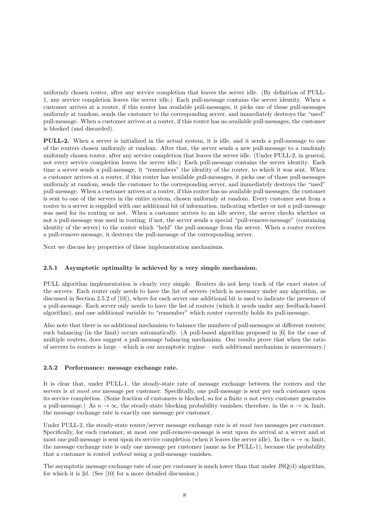uniformly chosen router, after any service completion that leaves the server idle. (By definition of PULL-1, any service completion leaves the server idle.) Each pull-message contains the server identity. When a customer arrives at a router, if this router has available pull-messages, it picks one of those pull-messages uniformly at random, sends the customer to the corresponding server, and immediately destroys the "used" pull-message. When a customer arrives at a router, if this router has no available pull-messages, the customer is blocked (and discarded).

PULL-2. When a server is initialized in the actual system, it is idle, and it sends a pull-message to one of the routers chosen uniformly at random. After that, the server sends a new pull-message to a randomly uniformly chosen router, after any service completion that leaves the server idle. (Under PULL-2, in general, not every service completion leaves the server idle.) Each pull-message contains the server identity. Each time a server sends a pull-message, it "remembers" the identity of the router, to which it was sent. When a customer arrives at a router, if this router has available pull-messages, it picks one of those pull-messages uniformly at random, sends the customer to the corresponding server, and immediately destroys the "used" pull-message. When a customer arrives at a router, if this router has no available pull-messages, the customer is sent to one of the servers in the entire system, chosen uniformly at random. Every customer sent from a router to a server is supplied with one additional bit of information, indicating whether or not a pull-message was used for its routing or not. When a customer arrives to an idle server, the server checks whether or not a pull-message was used in routing; if not, the server sends a special "pull-remove-message" (containing identity of the server) to the router which "held" the pull-message from the server. When a router receives a pull-remove-message, it destroys the pull-message of the corresponding server.

Next we discuss key properties of these implementation mechanisms.

#### 2.5.1 Asymptotic optimality is achieved by a very simple mechanism.

PULL algorithm implementation is clearly very simple. Routers do not keep track of the exact states of the servers. Each router only needs to have the list of servers (which is necessary under any algorithm, as discussed in Section 2.5.2 of [10]), where for each server one additional bit is used to indicate the presence of a pull-message. Each server only needs to have the list of routers (which it needs under any feedback-based algorithm), and one additional variable to "remember" which router currently holds its pull-message.

Also note that there is no additional mechanism to balance the numbers of pull-messages at different routers; such balancing (in the limit) occurs automatically. (A pull-based algorithm proposed in [6] for the case of multiple routers, does suggest a pull-message balancing mechanism. Our results prove that when the ratio of servers to routers is large – which is our asymptotic regime – such additional mechanism is unnecessary.)

#### 2.5.2 Performance: message exchange rate.

It is clear that, under PULL-1, the steady-state rate of message exchange between the routers and the servers is at most one message per customer. Specifically, one pull-message is sent per each customer upon its service completion. (Some fraction of customers is blocked, so for a finite  $n$  not every customer generates a pull-message.) As  $n \to \infty$ , the steady-state blocking probability vanishes; therefore, in the  $n \to \infty$  limit, the message exchange rate is exactly one message per customer.

Under PULL-2, the steady-state router/server message exchange rate is at most two messages per customer. Specifically, for each customer, at most one pull-remove-message is sent upon its arrival at a server and at most one pull-message is sent upon its service completion (when it leaves the server idle). In the  $n \to \infty$  limit, the message exchange rate is only one message per customer (same as for PULL-1), because the probability that a customer is routed without using a pull-message vanishes.

The asymptotic message exchange rate of one per customer is much lower than that under JSQ(d) algorithm, for which it is 2d. (See [10] for a more detailed discussion.)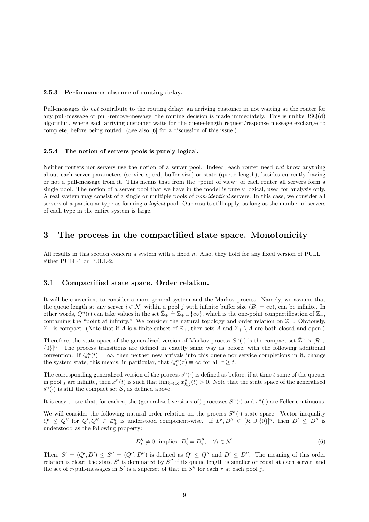#### 2.5.3 Performance: absence of routing delay.

Pull-messages do not contribute to the routing delay: an arriving customer in not waiting at the router for any pull-message or pull-remove-message, the routing decision is made immediately. This is unlike JSQ(d) algorithm, where each arriving customer waits for the queue-length request/response message exchange to complete, before being routed. (See also [6] for a discussion of this issue.)

#### 2.5.4 The notion of servers pools is purely logical.

Neither routers nor servers use the notion of a server pool. Indeed, each router need not know anything about each server parameters (service speed, buffer size) or state (queue length), besides currently having or not a pull-message from it. This means that from the "point of view" of each router all servers form a single pool. The notion of a server pool that we have in the model is purely logical, used for analysis only. A real system may consist of a single or multiple pools of non-identical servers. In this case, we consider all servers of a particular type as forming a *logical* pool. Our results still apply, as long as the number of servers of each type in the entire system is large.

# 3 The process in the compactified state space. Monotonicity

All results in this section concern a system with a fixed n. Also, they hold for any fixed version of PULL – either PULL-1 or PULL-2.

### 3.1 Compactified state space. Order relation.

It will be convenient to consider a more general system and the Markov process. Namely, we assume that the queue length at any server  $i \in \mathcal{N}_j$  within a pool j with infinite buffer size  $(B_j = \infty)$ , can be infinite. In other words,  $Q_i^n(t)$  can take values in the set  $\mathbb{Z}_+ \doteq \mathbb{Z}_+ \cup \{\infty\}$ , which is the one-point compactification of  $\mathbb{Z}_+$ , containing the "point at infinity." We consider the natural topology and order relation on  $\bar{\mathbb{Z}}_+$ . Obviously,  $\mathbb{Z}_+$  is compact. (Note that if A is a finite subset of  $\mathbb{Z}_+$ , then sets A and  $\mathbb{Z}_+ \setminus A$  are both closed and open.)

Therefore, the state space of the generalized version of Markov process  $S^n(\cdot)$  is the compact set  $\mathbb{Z}^n_+ \times [\mathcal{R} \cup$  $\{0\}^n$ . The process transitions are defined in exactly same way as before, with the following additional convention. If  $Q_i^n(t) = \infty$ , then neither new arrivals into this queue nor service completions in it, change the system state; this means, in particular, that  $Q_i^n(\tau) \equiv \infty$  for all  $\tau \geq t$ .

The corresponding generalized version of the process  $s^n(\cdot)$  is defined as before; if at time t some of the queues in pool j are infinite, then  $x^n(t)$  is such that  $\lim_{k\to\infty} x_{k,j}^n(t) > 0$ . Note that the state space of the generalized  $s^{n}(\cdot)$  is still the compact set S, as defined above.

It is easy to see that, for each n, the (generalized versions of) processes  $S<sup>n</sup>(.)$  and  $s<sup>n</sup>(.)$  are Feller continuous.

We will consider the following natural order relation on the process  $S<sup>n</sup>(.)$  state space. Vector inequality  $Q' \leq Q''$  for  $Q', Q'' \in \mathbb{Z}_{+}^{n}$  is understood component-wise. If  $D', D'' \in [\mathcal{R} \cup \{0\}]^n$ , then  $D' \leq D''$  is understood as the following property:

$$
D_i'' \neq 0 \text{ implies } D_i' = D_i'', \quad \forall i \in \mathcal{N}.
$$
 (6)

Then,  $S' = (Q', D') \le S'' = (Q'', D'')$  is defined as  $Q' \le Q''$  and  $D' \le D''$ . The meaning of this order relation is clear: the state  $S'$  is dominated by  $S''$  if its queue length is smaller or equal at each server, and the set of r-pull-messages in  $S'$  is a superset of that in  $S''$  for each r at each pool j.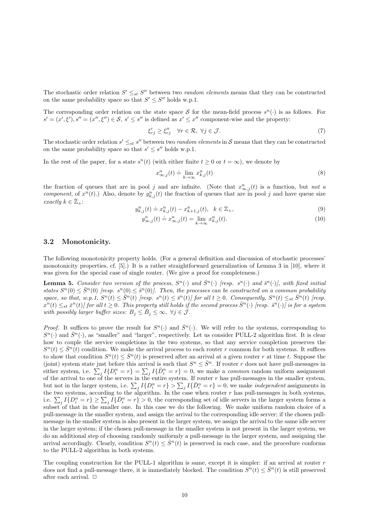The stochastic order relation  $S' \leq_{st} S''$  between two *random elements* means that they can be constructed on the same probability space so that  $S' \leq S''$  holds w.p.1.

The corresponding order relation on the state space S for the mean-field process  $s^n(\cdot)$  is as follows. For  $s' = (x', \xi'), s'' = (x'', \xi'') \in S, s' \leq s''$  is defined as  $x' \leq x''$  component-wise and the property:

$$
\xi'_{rj} \ge \xi''_{rj} \quad \forall r \in \mathcal{R}, \ \forall j \in \mathcal{J}.
$$
\n
$$
(7)
$$

The stochastic order relation  $s' \leq_{st} s''$  between two *random elements* in S means that they can be constructed on the same probability space so that  $s' \leq s''$  holds w.p.1.

In the rest of the paper, for a state  $s^{n}(t)$  (with either finite  $t \geq 0$  or  $t = \infty$ ), we denote by

$$
x_{\infty,j}^n(t) \doteq \lim_{k \to \infty} x_{k,j}^n(t) \tag{8}
$$

the fraction of queues that are in pool j and are infinite. (Note that  $x_{\infty,j}^n(t)$  is a function, but not a component, of  $x^n(t)$ .) Also, denote by  $y_{k,j}^n(t)$  the fraction of queues that are in pool j and have queue size exactly  $k \in \mathbb{Z}_+$ :

$$
y_{k,j}^n(t) \doteq x_{k,j}^n(t) - x_{k+1,j}^n(t), \ \ k \in \mathbb{Z}_+, \tag{9}
$$

$$
y_{\infty,j}^n(t) \doteq x_{\infty,j}^n(t) = \lim_{k \to \infty} x_{k,j}^n(t). \tag{10}
$$

### 3.2 Monotonicity.

The following monotonicity property holds. (For a general definition and discussion of stochastic processes' monotonicity properties, cf. [5].) It is a rather straightforward generalization of Lemma 3 in [10], where it was given for the special case of single router. (We give a proof for completeness.)

**Lemma 5.** Consider two version of the process,  $S^n(\cdot)$  and  $\overline{S}^n(\cdot)$  [resp. s<sup>n</sup>(·) and  $\overline{s}^n(\cdot)$ ], with fixed initial states  $S^n(0) \leq \bar{S}^n(0)$  [resp.  $s^n(0) \leq \bar{s}^n(0)$ ]. Then, the processes can be constructed on a common probability space, so that, w.p.1,  $S^n(t) \leq \overline{S}^n(t)$  [resp.  $s^n(t) \leq \overline{s}^n(t)$ ] for all  $t \geq 0$ . Consequently,  $S^n(t) \leq_{st} \overline{S}^n(t)$  [resp.  $x^n(t) \leq_{st} \bar{x}^n(t)$  for all  $t \geq 0$ . This property still holds if the second process  $\bar{S}^n(\cdot)$  [resp.  $\bar{s}^n(\cdot)$ ] is for a system with possibly larger buffer sizes:  $B_j \n\t\leq B_j \leq \infty$ ,  $\forall j \in \mathcal{J}$ .

*Proof.* It suffices to prove the result for  $S^n(\cdot)$  and  $\overline{S}^n(\cdot)$ . We will refer to the systems, corresponding to  $S^n(.)$  and  $\bar{S}^n(.)$ , as "smaller" and "larger", respectively. Let us consider PULL-2 algorithm first. It is clear how to couple the service completions in the two systems, so that any service completion preserves the  $S<sup>n</sup>(t) \leq \overline{S}<sup>n</sup>(t)$  condition. We make the arrival process to each router r common for both systems. It suffices to show that condition  $S^n(t) \leq \bar{S}^n(t)$  is preserved after an arrival at a given router r at time t. Suppose the (joint) system state just before this arrival is such that  $S^n \leq \overline{S}^n$ . If router r does not have pull-messages in either system, i.e.  $\sum_{j} I\{D_i^n = r\} = \sum_{j} I\{\bar{D}_i^n = r\} = 0$ , we make a *common* random uniform assignment of the arrival to one of the servers in the entire system. If router r has pull-messages in the smaller system, but not in the larger system, i.e.  $\sum_j I\{D_i^n = r\} > \sum_j I\{\bar{D}_i^n = r\} = 0$ , we make *independent* assignments in the two systems, according to the algorithm. In the case when router  $r$  has pull-messages in both systems, i.e.  $\sum_{j} I\{D_i^n = r\} \ge \sum_{j} I\{\bar{D}_i^n = r\} > 0$ , the corresponding set of idle servers in the larger system forms a subset of that in the smaller one. In this case we do the following. We make uniform random choice of a pull-message in the smaller system, and assign the arrival to the corresponding idle server; if the chosen pullmessage in the smaller system is also present in the larger system, we assign the arrival to the same idle server in the larger system; if the chosen pull-message in the smaller system is not present in the larger system, we do an additional step of choosing randomly uniformly a pull-message in the larger system, and assigning the arrival accordingly. Clearly, condition  $S^n(t) \leq \overline{S}^n(t)$  is preserved in each case, and the procedure conforms to the PULL-2 algorithm in both systems.

The coupling construction for the PULL-1 algorithm is same, except it is simpler: if an arrival at router  $r$ does not find a pull-message there, it is immediately blocked. The condition  $S^n(t) \leq \bar{S}^n(t)$  is still preserved after each arrival.  $\Box$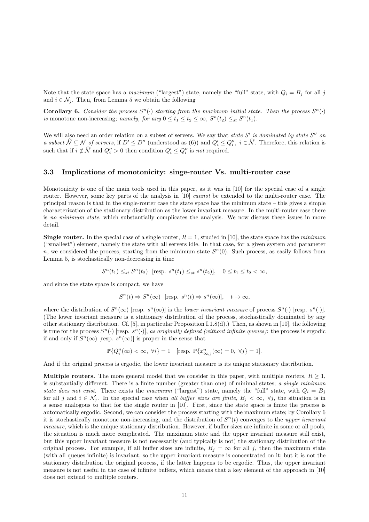Note that the state space has a maximum ("largest") state, namely the "full" state, with  $Q_i = B_j$  for all j and  $i \in \mathcal{N}_i$ . Then, from Lemma 5 we obtain the following

**Corollary 6.** Consider the process  $S^n(\cdot)$  starting from the maximum initial state. Then the process  $S^n(\cdot)$ is monotone non-increasing; namely, for any  $0 \le t_1 \le t_2 \le \infty$ ,  $S^n(t_2) \le_{st} S^n(t_1)$ .

We will also need an order relation on a subset of servers. We say that state  $S'$  is dominated by state  $S''$  on a subset  $\widehat{\mathcal{N}} \subseteq \mathcal{N}$  of servers, if  $D' \leq D''$  (understood as (6)) and  $Q'_i \leq Q''_i$ ,  $i \in \widehat{\mathcal{N}}$ . Therefore, this relation is such that if  $i \notin \widehat{\mathcal{N}}$  and  $Q_i'' > 0$  then condition  $Q_i' \leq Q_i''$  is not required.

### 3.3 Implications of monotonicity: singe-router Vs. multi-router case

Monotonicity is one of the main tools used in this paper, as it was in [10] for the special case of a single router. However, some key parts of the analysis in [10] *cannot* be extended to the multi-router case. The principal reason is that in the single-router case the state space has the minimum state – this gives a simple characterization of the stationary distribution as the lower invariant measure. In the multi-router case there is no minimum state, which substantially complicates the analysis. We now discuss these issues in more detail.

**Single router.** In the special case of a single router,  $R = 1$ , studied in [10], the state space has the minimum ("smallest") element, namely the state with all servers idle. In that case, for a given system and parameter n, we considered the process, starting from the minimum state  $S<sup>n</sup>(0)$ . Such process, as easily follows from Lemma 5, is stochastically non-decreasing in time

$$
S^{n}(t_{1}) \leq_{st} S^{n}(t_{2}) \quad [\text{resp.} \ \ s^{n}(t_{1}) \leq_{st} s^{n}(t_{2})], \quad 0 \leq t_{1} \leq t_{2} < \infty,
$$

and since the state space is compact, we have

$$
S^n(t) \Rightarrow S^n(\infty) \text{ [resp. } s^n(t) \Rightarrow s^n(\infty), \quad t \to \infty,
$$

where the distribution of  $S^n(\infty)$  [resp.  $s^n(\infty)$ ] is the *lower invariant measure* of process  $S^n(\cdot)$  [resp.  $s^n(\cdot)$ ]. (The lower invariant measure is a stationary distribution of the process, stochastically dominated by any other stationary distribution. Cf. [5], in particular Proposition I.1.8(d).) Then, as shown in [10], the following is true for the process  $S^n(\cdot)$  [resp.  $s^n(\cdot)$ ], as originally defined (without infinite queues): the process is ergodic if and only if  $S<sup>n</sup>(\infty)$  [resp.  $s<sup>n</sup>(\infty)$ ] is proper in the sense that

$$
\mathbb{P}\{Q_i^n(\infty) < \infty, \ \forall i\} = 1 \quad [\text{resp. } \mathbb{P}\{x_{\infty,j}^n(\infty) = 0, \ \forall j\} = 1].
$$

And if the original process is ergodic, the lower invariant measure is its unique stationary distribution.

Multiple routers. The more general model that we consider in this paper, with multiple routers,  $R \geq 1$ , is substantially different. There is a finite number (greater than one) of minimal states; a single minimum state does not exist. There exists the maximum ("largest") state, namely the "full" state, with  $Q_i = B_j$ for all j and  $i \in \mathcal{N}_i$ . In the special case when all buffer sizes are finite,  $B_i < \infty$ ,  $\forall j$ , the situation is in a sense analogous to that for the single router in [10]. First, since the state space is finite the process is automatically ergodic. Second, we can consider the process starting with the maximum state; by Corollary 6 it is stochastically monotone non-increasing, and the distribution of  $S<sup>n</sup>(t)$  converges to the upper invariant measure, which is the unique stationary distribution. However, if buffer sizes are infinite in some or all pools, the situation is much more complicated. The maximum state and the upper invariant measure still exist, but this upper invariant measure is not necessarily (and typically is not) the stationary distribution of the original process. For example, if all buffer sizes are infinite,  $B_j = \infty$  for all j, then the maximum state (with all queues infinite) is invariant, so the upper invariant measure is concentrated on it; but it is not the stationary distribution the original process, if the latter happens to be ergodic. Thus, the upper invariant measure is not useful in the case of infinite buffers, which means that a key element of the approach in [10] does not extend to multiple routers.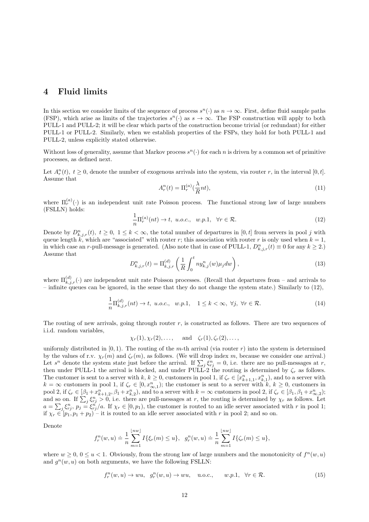# 4 Fluid limits

In this section we consider limits of the sequence of process  $s^n(\cdot)$  as  $n \to \infty$ . First, define fluid sample paths (FSP), which arise as limits of the trajectories  $s^n(\cdot)$  as  $s \to \infty$ . The FSP construction will apply to both PULL-1 and PULL-2; it will be clear which parts of the construction become trivial (or redundant) for either PULL-1 or PULL-2. Similarly, when we establish properties of the FSPs, they hold for both PULL-1 and PULL-2, unless explicitly stated otherwise.

Without loss of generality, assume that Markov process  $s^n(\cdot)$  for each n is driven by a common set of primitive processes, as defined next.

Let  $A_r^n(t)$ ,  $t \geq 0$ , denote the number of exogenous arrivals into the system, via router r, in the interval [0, t]. Assume that

$$
A_r^n(t) = \Pi_r^{(a)}\left(\frac{\lambda}{R}nt\right),\tag{11}
$$

where  $\Pi_r^{(a)}(\cdot)$  is an independent unit rate Poisson process. The functional strong law of large numbers (FSLLN) holds:

$$
\frac{1}{n}\Pi_r^{(a)}(nt) \to t, u.o.c., w.p.1, \forall r \in \mathcal{R}.
$$
\n(12)

Denote by  $D_{k,j,r}^n(t)$ ,  $t \geq 0$ ,  $1 \leq k < \infty$ , the total number of departures in [0, t] from servers in pool j with queue length  $\vec{k}$ , which are "associated" with router r; this association with router r is only used when  $k = 1$ , in which case an r-pull-message is generated. (Also note that in case of PULL-1,  $D_{k,j,r}^n(t) \equiv 0$  for any  $k \ge 2$ .) Assume that

$$
D_{k,j,r}^n(t) = \Pi_{k,j,r}^{(d)}\left(\frac{1}{R} \int_0^t n y_{k,j}^n(w) \mu_j dw\right),\tag{13}
$$

where  $\Pi_{k,j,r}^{(d)}(\cdot)$  are independent unit rate Poisson processes. (Recall that departures from – and arrivals to – infinite queues can be ignored, in the sense that they do not change the system state.) Similarly to (12),

$$
\frac{1}{n}\Pi_{k,j,r}^{(d)}(nt) \to t, u.o.c., w.p.1, 1 \le k < \infty, \forall j, \forall r \in \mathcal{R}.
$$
\n(14)

The routing of new arrivals, going through router  $r$ , is constructed as follows. There are two sequences of i.i.d. random variables,

$$
\chi_r(1), \chi_r(2), \ldots,
$$
 and  $\zeta_r(1), \zeta_r(2), \ldots,$ 

uniformly distributed in  $[0, 1)$ . The routing of the m-th arrival (via router r) into the system is determined by the values of r.v.  $\chi_r(m)$  and  $\zeta_r(m)$ , as follows. (We will drop index m, because we consider one arrival.) Let  $s^n$  denote the system state just before the arrival. If  $\sum_j \xi_{rj}^n = 0$ , i.e. there are no pull-messages at r, then under PULL-1 the arrival is blocked, and under PULL-2 the routing is determined by  $\zeta_r$  as follows. The customer is sent to a server with  $k, k \ge 0$ , customers in pool 1, if  $\zeta_r \in [x_{k+1,1}^n, x_{k,1}^n)$ , and to a server with  $k = \infty$  customers in pool 1, if  $\zeta_r \in [0, x_{\infty,1}^n)$ ; the customer is sent to a server with  $k, k \geq 0$ , customers in pool 2, if  $\zeta_r \in [\beta_1 + x_{k+1,2}^n, \beta_1 + x_{k,2}^n]$ , and to a server with  $k = \infty$  customers in pool 2, if  $\zeta_r \in [\beta_1, \beta_1 + x_{\infty,2}^n]$ ; and so on. If  $\sum_j \xi_{rj}^n > 0$ , i.e. there are pull-messages at r, the routing is determined by  $\chi_r$  as follows. Let  $a = \sum_j \xi_{rj}^n$ ,  $p_j = \xi_{rj}^n/a$ . If  $\chi_r \in [0, p_1)$ , the customer is routed to an idle server associated with r in pool 1; if  $\chi_r \in [p_1, p_1 + p_2)$  – it is routed to an idle server associated with r in pool 2; and so on.

Denote

$$
f_r^n(w, u) \doteq \frac{1}{n} \sum_{m=1}^{\lfloor nw \rfloor} I\{\xi_r(m) \le u\}, \ \ g_r^n(w, u) \doteq \frac{1}{n} \sum_{m=1}^{\lfloor nw \rfloor} I\{\zeta_r(m) \le u\},
$$

where  $w \geq 0$ ,  $0 \leq u < 1$ . Obviously, from the strong law of large numbers and the monotonicity of  $f^{n}(w, u)$ and  $g^{n}(w, u)$  on both arguments, we have the following FSLLN:

$$
f_r^n(w, u) \to wu, \quad g_r^n(w, u) \to wu, \quad \text{u.o.c.,} \qquad w.p.1, \quad \forall r \in \mathcal{R}.
$$
 (15)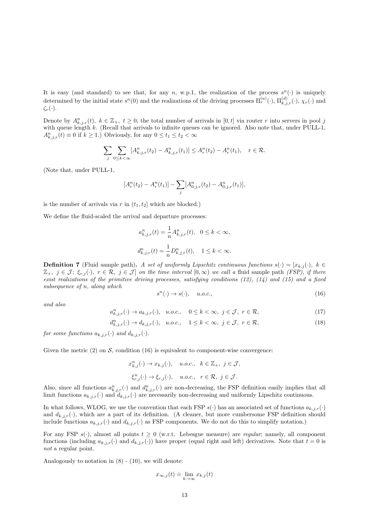It is easy (and standard) to see that, for any n, w.p.1, the realization of the process  $s^n(\cdot)$  is uniquely determined by the initial state  $s^n(0)$  and the realizations of the driving processes  $\Pi_r^{(a)}(\cdot), \Pi_{k,j,r}^{(d)}(\cdot), \chi_r(\cdot)$  and  $\zeta_r(\cdot).$ 

Denote by  $A_{k,j,r}^n(t)$ ,  $k \in \mathbb{Z}_+$ ,  $t \geq 0$ , the total number of arrivals in  $[0,t]$  via router r into servers in pool j with queue length k. (Recall that arrivals to infinite queues can be ignored. Also note that, under PULL-1,  $A_{k,j,r}^n(t) \equiv 0$  if  $k \geq 1$ .) Obviously, for any  $0 \leq t_1 \leq t_2 < \infty$ 

$$
\sum_{j} \sum_{0 \le k < \infty} [A_{k,j,r}^n(t_2) - A_{k,j,r}^n(t_1)] \le A_r^n(t_2) - A_r^n(t_1), \quad r \in \mathcal{R}.
$$

(Note that, under PULL-1,

$$
[A_r^n(t_2) - A_r^n(t_1)] - \sum_j [A_{0,j,r}^n(t_2) - A_{0,j,r}^n(t_1)],
$$

is the number of arrivals via r in  $(t_1, t_2]$  which are blocked.)

We define the fluid-scaled the arrival and departure processes:

$$
a_{k,j,r}^n(t) = \frac{1}{n} A_{k,j,r}^n(t), \quad 0 \le k < \infty,
$$
  

$$
d_{k,j,r}^n(t) = \frac{1}{n} D_{k,j,r}^n(t), \quad 1 \le k < \infty.
$$

**Definition 7** (Fluid sample path). A set of uniformly Lipschitz continuous functions  $s(\cdot) = [x_{k,j}(\cdot), k \in$  $\mathbb{Z}_+$ ,  $j \in \mathcal{J}$ ;  $\xi_{r,j}(\cdot)$ ,  $r \in \mathcal{R}$ ,  $j \in \mathcal{J}$  on the time interval  $[0,\infty)$  we call a fluid sample path (FSP), if there exist realizations of the primitive driving processes, satisfying conditions  $(12)$ ,  $(14)$  and  $(15)$  and a fixed subsequence of n, along which

$$
s^n(\cdot) \to s(\cdot), \quad u.o.c., \tag{16}
$$

and also

$$
a_{k,j,r}^n(\cdot) \to a_{k,j,r}(\cdot), \quad u.o.c., \quad 0 \le k < \infty, \ j \in \mathcal{J}, \ r \in \mathcal{R}, \tag{17}
$$

$$
d_{k,j,r}^n(\cdot) \to d_{k,j,r}(\cdot), \quad u.o.c., \quad 1 \le k < \infty, \ j \in \mathcal{J}, \ r \in \mathcal{R}, \tag{18}
$$

for some functions  $a_{k,j,r}(\cdot)$  and  $d_{k,j,r}(\cdot)$ .

Given the metric (2) on  $S$ , condition (16) is equivalent to component-wise convergence:

 $x_{k,j}^n(\cdot) \to x_{k,j}(\cdot)$ , u.o.c.,  $k \in \mathbb{Z}_+$ ,  $j \in \mathcal{J}$ ,  $\xi_{r,j}^n(\cdot) \to \xi_{r,j}(\cdot), \quad u.o.c., \quad r \in \mathcal{R}, \ j \in \mathcal{J}.$ 

Also, since all functions  $a_{k,j,r}^n(\cdot)$  and  $d_{k,j,r}^n(\cdot)$  are non-decreasing, the FSP definition easily implies that all limit functions  $a_{k,j,r}(\cdot)$  and  $d_{k,j,r}(\cdot)$  are necessarily non-decreasing and uniformly Lipschitz continuous.

In what follows, WLOG, we use the convention that each FSP  $s(\cdot)$  has an associated set of functions  $a_{k,j,r}(\cdot)$ and  $d_{k,j,r}(\cdot)$ , which are a part of its definition. (A cleaner, but more cumbersome FSP definition should include functions  $a_{k,j,r}(\cdot)$  and  $d_{k,j,r}(\cdot)$  as FSP components. We do not do this to simplify notation.)

For any FSP  $s(\cdot)$ , almost all points  $t \geq 0$  (w.r.t. Lebesgue measure) are *regular*; namely, all component functions (including  $a_{k,j,r}(\cdot)$  and  $d_{k,j,r}(\cdot)$ ) have proper (equal right and left) derivatives. Note that  $t = 0$  is not a regular point.

Analogously to notation in  $(8)$  -  $(10)$ , we will denote:

$$
x_{\infty,j}(t) \doteq \lim_{k \to \infty} x_{k,j}(t)
$$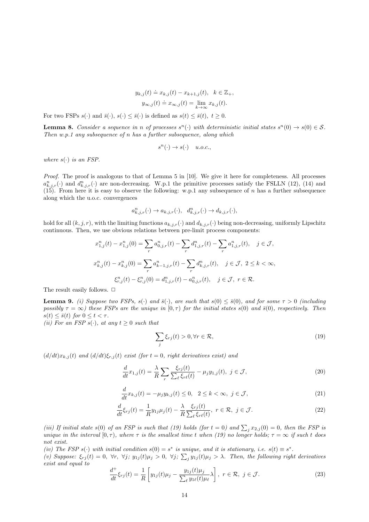$$
y_{k,j}(t) \doteq x_{k,j}(t) - x_{k+1,j}(t), \quad k \in \mathbb{Z}_+,
$$
  

$$
y_{\infty,j}(t) \doteq x_{\infty,j}(t) = \lim_{k \to \infty} x_{k,j}(t).
$$

For two FSPs  $s(\cdot)$  and  $\bar{s}(\cdot), s(\cdot) \leq \bar{s}(\cdot)$  is defined as  $s(t) \leq \bar{s}(t), t \geq 0$ .

**Lemma 8.** Consider a sequence in n of processes  $s^n(\cdot)$  with deterministic initial states  $s^n(0) \to s(0) \in S$ . Then w.p.1 any subsequence of n has a further subsequence, along which

$$
s^n(\cdot) \to s(\cdot) \quad u.o.c.,
$$

where  $s(\cdot)$  is an FSP.

Proof. The proof is analogous to that of Lemma 5 in [10]. We give it here for completeness. All processes  $a_{k,j,r}^n(\cdot)$  and  $d_{k,j,r}^n(\cdot)$  are non-decreasing. W.p.1 the primitive processes satisfy the FSLLN (12), (14) and (15). From here it is easy to observe the following: w.p.1 any subsequence of n has a further subsequence along which the u.o.c. convergences

$$
a_{k,j,r}^n(\cdot) \to a_{k,j,r}(\cdot), \quad d_{k,j,r}^n(\cdot) \to d_{k,j,r}(\cdot),
$$

hold for all  $(k, j, r)$ , with the limiting functions  $a_{k,j,r}(\cdot)$  and  $d_{k,j,r}(\cdot)$  being non-decreasing, uniformly Lipschitz continuous. Then, we use obvious relations between pre-limit process components:

$$
x_{1,j}^n(t) - x_{1,j}^n(0) = \sum_r a_{0,j,r}^n(t) - \sum_r d_{1,j,r}^n(t) - \sum_r a_{1,j,r}^n(t), \quad j \in \mathcal{J},
$$
  

$$
x_{k,j}^n(t) - x_{k,j}^n(0) = \sum_r a_{k-1,j,r}^n(t) - \sum_r d_{k,j,r}^n(t), \quad j \in \mathcal{J}, \ 2 \le k < \infty,
$$
  

$$
\xi_{r,j}^n(t) - \xi_{r,j}^n(0) = d_{1,j,r}^n(t) - a_{0,j,r}^n(t), \quad j \in \mathcal{J}, \ r \in \mathcal{R}.
$$

The result easily follows.  $\Box$ 

**Lemma 9.** (i) Suppose two FSPs, s(c) and  $\bar{s}(\cdot)$ , are such that  $s(0) \leq \bar{s}(0)$ , and for some  $\tau > 0$  (including possibly  $\tau = \infty$ ) these FSPs are the unique in  $[0, \tau)$  for the initial states s(0) and  $\bar{s}(0)$ , respectively. Then  $s(t) \leq \bar{s}(t)$  for  $0 \leq t < \tau$ .

(ii) For an FSP s( $\cdot$ ), at any  $t \geq 0$  such that

$$
\sum_{j} \xi_{rj}(t) > 0, \forall r \in \mathcal{R},\tag{19}
$$

 $(d/dt)x_{k,j}(t)$  and  $(d/dt)\xi_{r,j}(t)$  exist (for  $t=0$ , right derivatives exist) and

$$
\frac{d}{dt}x_{1,j}(t) = \frac{\lambda}{R} \sum_{r} \frac{\xi_{rj}(t)}{\sum_{\ell} \xi_{r\ell}(t)} - \mu_j y_{1,j}(t), \ j \in \mathcal{J},\tag{20}
$$

$$
\frac{d}{dt}x_{k,j}(t) = -\mu_j y_{k,j}(t) \le 0, \quad 2 \le k < \infty, \quad j \in \mathcal{J},\tag{21}
$$

$$
\frac{d}{dt}\xi_{rj}(t) = \frac{1}{R}y_{1j}\mu_j(t) - \frac{\lambda}{R} \frac{\xi_{rj}(t)}{\sum_{\ell} \xi_{r\ell}(t)}, \ r \in \mathcal{R}, \ j \in \mathcal{J}.
$$
\n(22)

(iii) If initial state  $s(0)$  of an FSP is such that (19) holds (for  $t = 0$ ) and  $\sum_j x_{2,j}(0) = 0$ , then the FSP is unique in the interval  $[0, \tau)$ , where  $\tau$  is the smallest time t when (19) no longer holds;  $\tau = \infty$  if such t does not exist.

(iv) The FSP s(·) with initial condition  $s(0) = s^*$  is unique, and it is stationary, i.e.  $s(t) \equiv s^*$ .

(v) Suppose:  $\xi_{rj}(t) = 0$ ,  $\forall r, \forall j; y_{1j}(t) \mu_j > 0$ ,  $\forall j; \sum_j y_{1j}(t) \mu_j > \lambda$ . Then, the following right derivatives exist and equal to

$$
\frac{d^+}{dt}\xi_{rj}(t) = \frac{1}{R} \left[ y_{1j}(t)\mu_j - \frac{y_{1j}(t)\mu_j}{\sum_{\ell} y_{1\ell}(t)\mu_{\ell}} \lambda \right], \ r \in \mathcal{R}, \ j \in \mathcal{J}.
$$
\n(23)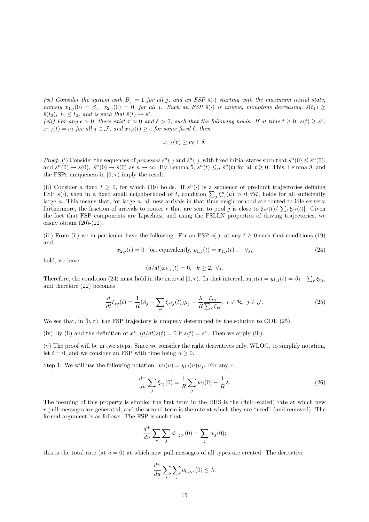(vi) Consider the system with  $B_j = 1$  for all j, and an FSP  $\bar{s}(\cdot)$  starting with the maximum initial state, namely  $x_{1,j}(0) = \beta_j$ ,  $x_{2,j}(0) = 0$ , for all j. Such an FSP  $\bar{s}(\cdot)$  is unique, monotone decreasing,  $\bar{s}(t_1) \geq$  $\bar{s}(t_2), t_1 \leq t_2$ , and is such that  $\bar{s}(t) \to s^*$ .

(vii) For any  $\epsilon > 0$ , there exist  $\tau > 0$  and  $\delta > 0$ , such that the following holds. If at time  $t \geq 0$ ,  $s(t) \geq s^*$ ,  $x_{1,j}(t) = \nu_j$  for all  $j \in \mathcal{J}$ , and  $x_{2,\ell}(t) \geq \epsilon$  for some fixed  $\ell$ , then

$$
x_{1,\ell}(\tau) \ge \nu_{\ell} + \delta.
$$

*Proof.* (i) Consider the sequences of processes  $s^n(\cdot)$  and  $\bar{s}^n(\cdot)$ , with fixed initial states such that  $s^n(0) \leq \bar{s}^n(0)$ , and  $s^{n}(0) \to s(0), \ \bar{s}^{n}(0) \to \bar{s}(0)$  as  $n \to \infty$ . By Lemma 5,  $s^{n}(t) \leq_{st} \bar{s}^{n}(t)$  for all  $t \geq 0$ . This, Lemma 8, and the FSPs uniqueness in  $[0, \tau)$  imply the result.

(ii) Consider a fixed  $t \geq 0$ , for which (19) holds. If  $s^{n}(\cdot)$  is a sequence of pre-limit trajectories defining FSP  $s(\cdot)$ , then in a fixed small neighborhood of t, condition  $\sum_j \xi_{rj}^n(u) > 0, \forall \mathcal{R}$ , holds for all sufficiently large n. This means that, for large n, all new arrivals in that time neighborhood are routed to idle servers; furthermore, the fraction of arrivals to router r that are sent to pool j is close to  $\xi_{rj}(t)/[\sum_{\ell} \xi_{r\ell}(t)]$ . Given the fact that FSP components are Lipschitz, and using the FSLLN properties of driving trajectories, we easily obtain  $(20)-(22)$ .

(iii) From (ii) we in particular have the following. For an FSP  $s(\cdot)$ , at any  $t \geq 0$  such that conditions (19) and

$$
x_{2,j}(t) = 0
$$
 [or, equivalently,  $y_{1,j}(t) = x_{1,j}(t)$ ],  $\forall j$ , (24)

hold, we have

$$
(d/dt)x_{k,j}(t) = 0, \quad k \ge 2, \ \forall j.
$$

Therefore, the condition (24) must hold in the interval  $[0, \tau)$ . In that interval,  $x_{1,j}(t) = y_{1,j}(t) = \beta_j - \sum_r \xi_{rj}$ , and therefore (22) becomes

$$
\frac{d}{dt}\xi_{rj}(t) = \frac{1}{R}(\beta_j - \sum_{r'} \xi_{r'j}(t))\mu_j - \frac{\lambda}{R} \frac{\xi_{rj}}{\sum_{\ell} \xi_{r\ell}}, \ r \in \mathcal{R}, \ j \in \mathcal{J}.
$$
\n(25)

We see that, in  $[0, \tau)$ , the FSP trajectory is uniquely determined by the solution to ODE (25).

(iv) By (ii) and the definition of  $x^*$ ,  $(d/dt)s(t) = 0$  if  $s(t) = s^*$ . Then we apply (iii).

(v) The proof will be in two steps. Since we consider the right derivatives only, WLOG, to simplify notation, let  $t = 0$ , and we consider an FSP with time being  $u \geq 0$ .

Step 1. We will use the following notation:  $w_i(u) = y_{1i}(u)\mu_i$ . For any r,

$$
\frac{d^+}{du}\sum_j \xi_{rj}(0) = \frac{1}{R}\sum_j w_j(0) - \frac{1}{R}\lambda.
$$
\n(26)

The meaning of this property is simple: the first term in the RHS is the (fluid-scaled) rate at which new r-pull-messages are generated, and the second term is the rate at which they are "used" (and removed). The formal argument is as follows. The FSP is such that

$$
\frac{d^+}{du} \sum_r \sum_j d_{1,j,r}(0) = \sum_j w_j(0);
$$

this is the total rate (at  $u = 0$ ) at which new pull-messages of all types are created. The derivative

$$
\frac{d^+}{du} \sum_r \sum_j a_{0,j,r}(0) \leq \lambda;
$$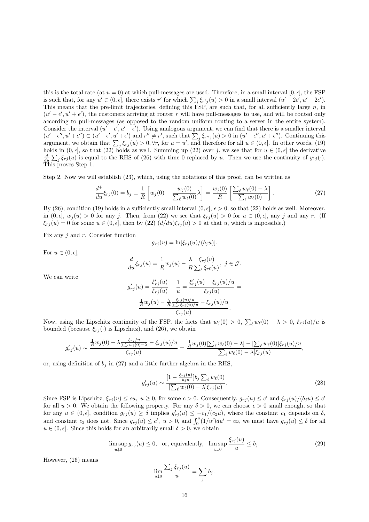this is the total rate (at  $u = 0$ ) at which pull-messages are used. Therefore, in a small interval [0,  $\epsilon$ ], the FSP is such that, for any  $u' \in (0, \epsilon]$ , there exists r' for which  $\sum_j \xi_{r'j}(u) > 0$  in a small interval  $(u' - 2\epsilon', u' + 2\epsilon')$ . This means that the pre-limit trajectories, defining this FSP, are such that, for all sufficiently large  $n$ , in  $(u'-\epsilon', u'+\epsilon')$ , the customers arriving at router r will have pull-messages to use, and will be routed only according to pull-messages (as opposed to the random uniform routing to a server in the entire system). Consider the interval  $(u'-\epsilon', u'+\epsilon')$ . Using analogous argument, we can find that there is a smaller interval  $(u'-\epsilon'', u'+\epsilon'') \subset (u'-\epsilon', u'+\epsilon')$  and  $r'' \neq r'$ , such that  $\sum_j \xi_{r''j}(u) > 0$  in  $(u'-\epsilon'', u'+\epsilon'')$ . Continuing this argument, we obtain that  $\sum_j \xi_{rj}(u) > 0$ ,  $\forall r$ , for  $u = u'$ , and therefore for all  $u \in (0, \epsilon]$ . In other words, (19) holds in  $(0, \epsilon]$ , so that  $(22)$  holds as well. Summing up  $(22)$  over j, we see that for  $u \in (0, \epsilon]$  the derivative  $\frac{d}{du}\sum_j \xi_{rj}(u)$  is equal to the RHS of (26) with time 0 replaced by u. Then we use the continuity of  $y_{1j}(\cdot)$ . This proves Step 1.

Step 2. Now we will establish (23), which, using the notations of this proof, can be written as

$$
\frac{d^+}{du}\xi_{rj}(0) = b_j \equiv \frac{1}{R} \left[ w_j(0) - \frac{w_j(0)}{\sum_{\ell} w_{\ell}(0)} \lambda \right] = \frac{w_j(0)}{R} \left[ \frac{\sum_{\ell} w_{\ell}(0) - \lambda}{\sum_{\ell} w_{\ell}(0)} \right].
$$
\n(27)

By (26), condition (19) holds in a sufficiently small interval  $(0, \epsilon]$ ,  $\epsilon > 0$ , so that (22) holds as well. Moreover, in  $(0, \epsilon], w_i(u) > 0$  for any j. Then, from (22) we see that  $\xi_{rj}(u) > 0$  for  $u \in (0, \epsilon],$  any j and any r. (If  $\xi_{ri}(u) = 0$  for some  $u \in (0, \epsilon],$  then by (22)  $(d/du)\xi_{ri}(u) > 0$  at that u, which is impossible.)

Fix any  $j$  and  $r$ . Consider function

$$
g_{rj}(u) = \ln[\xi_{rj}(u)/(b_j u)].
$$

For  $u \in (0, \epsilon],$ 

$$
\frac{d}{du}\xi_{rj}(u) = \frac{1}{R}w_j(u) - \frac{\lambda}{R}\frac{\xi_{rj}(u)}{\sum_{\ell}\xi_{r\ell}(u)}, \ j \in \mathcal{J}.
$$

We can write

$$
g'_{rj}(u) = \frac{\xi'_{rj}(u)}{\xi_{rj}(u)} - \frac{1}{u} = \frac{\xi'_{rj}(u) - \xi_{rj}(u)/u}{\xi_{rj}(u)}
$$

$$
\frac{\frac{1}{R}w_j(u) - \frac{\lambda}{R} \frac{\xi_{rj}(u)/u}{\sum_{\ell} \xi_{r\ell}(u)/u} - \xi_{rj}(u)/u}{\xi_{rj}(u)}.
$$

Now, using the Lipschitz continuity of the FSP, the facts that  $w_j(0) > 0$ ,  $\sum_{\ell} w_{\ell}(0) - \lambda > 0$ ,  $\xi_{rj}(u)/u$  is bounded (because  $\xi_{ri}(\cdot)$  is Lipschitz), and (26), we obtain

$$
g'_{rj}(u) \sim \frac{\frac{1}{R}w_j(0) - \lambda \frac{\xi_{rj}/u}{\sum_{\ell} w_{\ell}(0) - \lambda} - \xi_{rj}(u)/u}{\xi_{rj}(u)} = \frac{\frac{1}{R}w_j(0)[\sum_{\ell} w_{\ell}(0) - \lambda] - [\sum_{\ell} w_{\ell}(0)]\xi_{rj}(u)/u}{[\sum_{\ell} w_{\ell}(0) - \lambda]\xi_{rj}(u)},
$$

or, using definition of  $b_i$  in (27) and a little further algebra in the RHS,

$$
g'_{rj}(u) \sim \frac{\left[1 - \frac{\xi_{rj}(u)}{b_j u}\right] b_j \sum_{\ell} w_{\ell}(0)}{\left[\sum_{\ell} w_{\ell}(0) - \lambda\right] \xi_{rj}(u)}.
$$
\n(28)

=

Since FSP is Lipschitz,  $\xi_{rj}(u) \le cu, u \ge 0$ , for some  $c > 0$ . Consequently,  $g_{rj}(u) \le c'$  and  $\xi_{rj}(u)/(b_j u) \le c'$ for all  $u > 0$ . We obtain the following property. For any  $\delta > 0$ , we can choose  $\epsilon > 0$  small enough, so that for any  $u \in (0, \epsilon],$  condition  $g_{rj}(u) \geq \delta$  implies  $g'_{rj}(u) \leq -c_1/(c_2u)$ , where the constant  $c_1$  depends on  $\delta$ , and constant  $c_2$  does not. Since  $g_{rj}(u) \le c'$ ,  $u > 0$ , and  $\int_0^u (1/u') du' = \infty$ , we must have  $g_{rj}(u) \le \delta$  for all  $u \in (0, \epsilon]$ . Since this holds for an arbitrarily small  $\delta > 0$ , we obtain

$$
\limsup_{u \downarrow 0} g_{rj}(u) \le 0, \quad \text{or, equivalently,} \quad \limsup_{u \downarrow 0} \frac{\xi_{rj}(u)}{u} \le b_j. \tag{29}
$$

However, (26) means

$$
\lim_{u \downarrow 0} \frac{\sum_j \xi_{rj}(u)}{u} = \sum_j b_j.
$$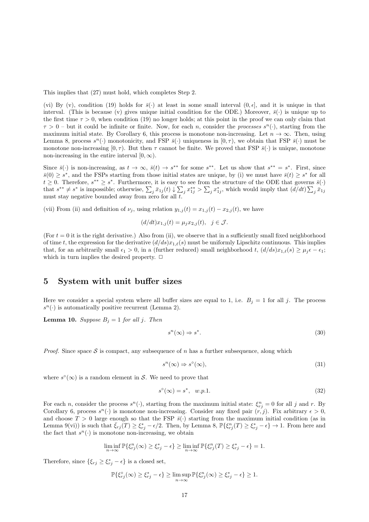This implies that (27) must hold, which completes Step 2.

(vi) By (v), condition (19) holds for  $\bar{s}(\cdot)$  at least in some small interval  $(0, \epsilon]$ , and it is unique in that interval. (This is because (v) gives unique initial condition for the ODE.) Moreover,  $\bar{s}(\cdot)$  is unique up to the first time  $\tau > 0$ , when condition (19) no longer holds; at this point in the proof we can only claim that  $\tau > 0$  – but it could be infinite or finite. Now, for each n, consider the processes  $s^n(\cdot)$ , starting from the maximum initial state. By Corollary 6, this process is monotone non-increasing. Let  $n \to \infty$ . Then, using Lemma 8, process  $s^n(\cdot)$  monotonicity, and FSP  $\bar{s}(\cdot)$  uniqueness in  $[0, \tau)$ , we obtain that FSP  $\bar{s}(\cdot)$  must be monotone non-increasing  $[0, \tau)$ . But then  $\tau$  cannot be finite. We proved that FSP  $\bar{s}(\cdot)$  is unique, monotone non-increasing in the entire interval  $[0, \infty)$ .

Since  $\bar{s}(\cdot)$  is non-increasing, as  $t \to \infty$ ,  $\bar{s}(t) \to s^{**}$  for some  $s^{**}$ . Let us show that  $s^{**} = s^*$ . First, since  $\bar{s}(0) \geq s^*$ , and the FSPs starting from those initial states are unique, by (i) we must have  $\bar{s}(t) \geq s^*$  for all  $t \geq 0$ . Therefore,  $s^{**} \geq s^*$ . Furthermore, it is easy to see from the structure of the ODE that governs  $\bar{s}(\cdot)$ that  $s^{**} \neq s^*$  is impossible; otherwise,  $\sum_j \bar{x}_{1j}(t) \downarrow \sum_j x_{1j}^{**} > \sum_j x_{1j}^*$ , which would imply that  $(d/dt) \sum_j \bar{x}_{1j}$ must stay negative bounded away from zero for all t.

(vii) From (ii) and definition of  $\nu_j$ , using relation  $y_{1,j}(t) = x_{1,j}(t) - x_{2,j}(t)$ , we have

$$
(d/dt)x_{1,j}(t) = \mu_j x_{2,j}(t), \ \ j \in \mathcal{J}.
$$

(For  $t = 0$  it is the right derivative.) Also from (ii), we observe that in a sufficiently small fixed neighborhood of time t, the expression for the derivative  $(d/ds)x_{1,\ell}(s)$  must be uniformly Lipschitz continuous. This implies that, for an arbitrarily small  $\epsilon_1 > 0$ , in a (further reduced) small neighborhood t,  $(d/ds)x_{1,\ell}(s) \geq \mu_j \epsilon - \epsilon_1$ ; which in turn implies the desired property.  $\Box$ 

# 5 System with unit buffer sizes

Here we consider a special system where all buffer sizes are equal to 1, i.e.  $B_j = 1$  for all j. The process  $s^{n}(\cdot)$  is automatically positive recurrent (Lemma 2).

**Lemma 10.** Suppose  $B_j = 1$  for all j. Then

$$
s^n(\infty) \Rightarrow s^*.\tag{30}
$$

*Proof.* Since space S is compact, any subsequence of n has a further subsequence, along which

$$
s^n(\infty) \Rightarrow s^\circ(\infty),\tag{31}
$$

where  $s^{\circ}(\infty)$  is a random element in S. We need to prove that

$$
s^{\circ}(\infty) = s^*, \quad w.p.1. \tag{32}
$$

For each n, consider the process  $s^n(\cdot)$ , starting from the maximum initial state:  $\xi_{rj}^n = 0$  for all j and r. By Corollary 6, process  $s^n(\cdot)$  is monotone non-increasing. Consider any fixed pair  $(r, j)$ . Fix arbitrary  $\epsilon > 0$ , and choose  $T > 0$  large enough so that the FSP  $\bar{s}(\cdot)$  starting from the maximum initial condition (as in Lemma 9(vi)) is such that  $\bar{\xi}_{rj}(T) \geq \xi_{rj}^* - \epsilon/2$ . Then, by Lemma 8,  $\mathbb{P}\{\xi_{rj}^n(T) \geq \xi_{rj}^* - \epsilon\} \to 1$ . From here and the fact that  $s^n(\cdot)$  is monotone non-increasing, we obtain

$$
\liminf_{n \to \infty} \mathbb{P}\{\xi_{rj}^n(\infty) \ge \xi_{rj}^* - \epsilon\} \ge \liminf_{n \to \infty} \mathbb{P}\{\xi_{rj}^n(T) \ge \xi_{rj}^* - \epsilon\} = 1.
$$

Therefore, since  $\{\xi_{rj} \geq \xi^*_{rj} - \epsilon\}$  is a closed set,

$$
\mathbb{P}\{\xi_{rj}^{\circ}(\infty) \geq \xi_{rj}^* - \epsilon\} \geq \limsup_{n \to \infty} \mathbb{P}\{\xi_{rj}^n(\infty) \geq \xi_{rj}^* - \epsilon\} \geq 1.
$$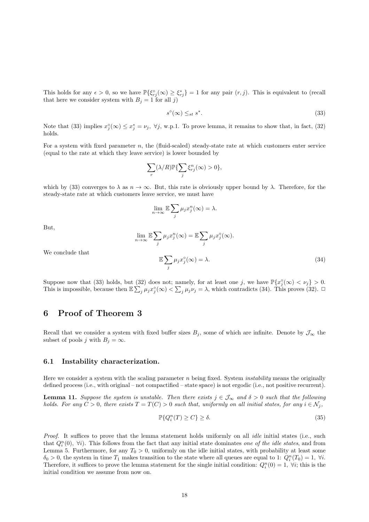This holds for any  $\epsilon > 0$ , so we have  $\mathbb{P}\{\xi_{rj}^{\circ}(\infty) \geq \xi_{rj}^*\} = 1$  for any pair  $(r, j)$ . This is equivalent to (recall that here we consider system with  $B_i = 1$  for all j)

$$
s^{\circ}(\infty) \leq_{st} s^*.
$$
\n<sup>(33)</sup>

Note that (33) implies  $x_j^{\circ}(\infty) \le x_j^* = \nu_j$ ,  $\forall j$ , w.p.1. To prove lemma, it remains to show that, in fact, (32) holds.

For a system with fixed parameter  $n$ , the (fluid-scaled) steady-state rate at which customers enter service (equal to the rate at which they leave service) is lower bounded by

$$
\sum_{r} (\lambda/R) \mathbb{P}\{\sum_{j} \xi_{rj}^{n}(\infty) > 0\},\
$$

which by (33) converges to  $\lambda$  as  $n \to \infty$ . But, this rate is obviously upper bound by  $\lambda$ . Therefore, for the steady-state rate at which customers leave service, we must have

$$
\lim_{n \to \infty} \mathbb{E} \sum_{j} \mu_j x_j^n(\infty) = \lambda.
$$

But,

$$
\lim_{n \to \infty} \mathbb{E} \sum_{j} \mu_j x_j^n(\infty) = \mathbb{E} \sum_{j} \mu_j x_j^\circ(\infty).
$$

$$
\mathbb{E} \sum_{j} \mu_j x_j^\circ(\infty) = \lambda.
$$
(34)

We conclude that

Suppose now that (33) holds, but (32) does not; namely, for at least one j, we have  $\mathbb{P}\{x_j^{\circ}(\infty) < \nu_j\} > 0$ . This is impossible, because then  $\mathbb{E} \sum_{j} \mu_j x_j^{\circ}(\infty) < \sum_{j} \mu_j \nu_j = \lambda$ , which contradicts (34). This proves (32).  $\Box$ 

# 6 Proof of Theorem 3

Recall that we consider a system with fixed buffer sizes  $B_j$ , some of which are infinite. Denote by  $\mathcal{J}_{\infty}$  the subset of pools j with  $B_j = \infty$ .

#### 6.1 Instability characterization.

Here we consider a system with the scaling parameter  $n$  being fixed. System *instability* means the originally defined process (i.e., with original – not compactified – state space) is not ergodic (i.e., not positive recurrent).

**Lemma 11.** Suppose the system is unstable. Then there exists  $j \in \mathcal{J}_{\infty}$  and  $\delta > 0$  such that the following holds. For any  $C > 0$ , there exists  $T = T(C) > 0$  such that, uniformly on all initial states, for any  $i \in \mathcal{N}_i$ ,

$$
\mathbb{P}\{Q_i^n(T) \ge C\} \ge \delta. \tag{35}
$$

Proof. It suffices to prove that the lemma statement holds uniformly on all *idle* initial states (i.e., such that  $Q_i^n(0)$ ,  $\forall i$ ). This follows from the fact that any initial state dominates one of the idle states, and from Lemma 5. Furthermore, for any  $T_0 > 0$ , uniformly on the idle initial states, with probability at least some  $\delta_0 > 0$ , the system in time  $T_1$  makes transition to the state where all queues are equal to 1:  $Q_i^n(T_0) = 1$ ,  $\forall i$ . Therefore, it suffices to prove the lemma statement for the single initial condition:  $Q_i^n(0) = 1$ ,  $\forall i$ ; this is the initial condition we assume from now on.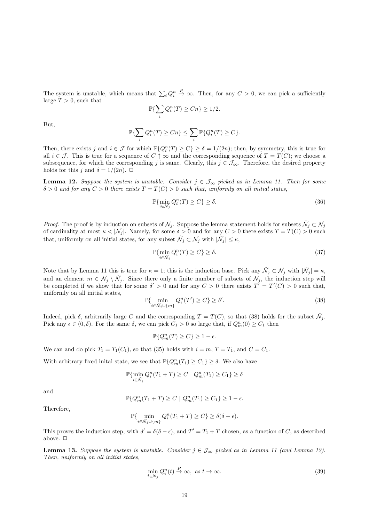The system is unstable, which means that  $\sum_i Q_i^n$  $\stackrel{P}{\rightarrow} \infty$ . Then, for any  $C > 0$ , we can pick a sufficiently large  $T > 0$ , such that

$$
\mathbb{P}\{\sum_i Q_i^n(T) \geq Cn\} \geq 1/2.
$$

But,

$$
\mathbb{P}\{\sum_{i}Q_{i}^{n}(T)\geq Cn\}\leq \sum_{i}\mathbb{P}\{Q_{i}^{n}(T)\geq C\}.
$$

Then, there exists j and  $i \in \mathcal{J}$  for which  $\mathbb{P}\{Q_i^n(T) \geq C\} \geq \delta = 1/(2n)$ ; then, by symmetry, this is true for all  $i \in \mathcal{J}$ . This is true for a sequence of  $C \uparrow \infty$  and the corresponding sequence of  $T = T(C)$ ; we choose a subsequence, for which the corresponding j is same. Clearly, this  $j \in \mathcal{J}_{\infty}$ . Therefore, the desired property holds for this j and  $\delta = 1/(2n)$ .  $\Box$ 

**Lemma 12.** Suppose the system is unstable. Consider  $j \in \mathcal{J}_{\infty}$  picked as in Lemma 11. Then for some  $\delta > 0$  and for any  $C > 0$  there exists  $T = T(C) > 0$  such that, uniformly on all initial states,

$$
\mathbb{P}\{\min_{i\in\mathcal{N}_j} Q_i^n(T) \ge C\} \ge \delta. \tag{36}
$$

*Proof.* The proof is by induction on subsets of  $\mathcal{N}_j$ . Suppose the lemma statement holds for subsets  $\hat{\mathcal{N}}_j \subset \mathcal{N}_j$ of cardinality at most  $\kappa < |\mathcal{N}_j|$ . Namely, for some  $\delta > 0$  and for any  $C > 0$  there exists  $T = T(C) > 0$  such that, uniformly on all initial states, for any subset  $\hat{\mathcal{N}}_j \subset \mathcal{N}_j$  with  $|\hat{\mathcal{N}}_j| \leq \kappa$ ,

$$
\mathbb{P}\{\min_{i\in\hat{\mathcal{N}}_j} Q_i^n(T) \ge C\} \ge \delta. \tag{37}
$$

Note that by Lemma 11 this is true for  $\kappa = 1$ ; this is the induction base. Pick any  $\hat{\mathcal{N}}_j \subset \mathcal{N}_j$  with  $|\hat{\mathcal{N}}_j| = \kappa$ , and an element  $m \in \mathcal{N}_j \setminus \hat{\mathcal{N}}_j$ . Since there only a finite number of subsets of  $\mathcal{N}_j$ , the induction step will be completed if we show that for some  $\delta' > 0$  and for any  $C > 0$  there exists  $T' = T'(C) > 0$  such that, uniformly on all initial states,

$$
\mathbb{P}\{\min_{i\in\hat{\mathcal{N}}_j\cup\{m\}} Q_i^n(T') \ge C\} \ge \delta'.\tag{38}
$$

Indeed, pick  $\delta$ , arbitrarily large C and the corresponding  $T = T(C)$ , so that (38) holds for the subset  $\hat{\mathcal{N}}_j$ . Pick any  $\epsilon \in (0, \delta)$ . For the same  $\delta$ , we can pick  $C_1 > 0$  so large that, if  $Q_m^n(0) \ge C_1$  then

$$
\mathbb{P}\{Q_m^n(T) \ge C\} \ge 1 - \epsilon.
$$

We can and do pick  $T_1 = T_1(C_1)$ , so that (35) holds with  $i = m, T = T_1$ , and  $C = C_1$ .

With arbitrary fixed inital state, we see that  $\mathbb{P}\{Q_m^n(T_1) \geq C_1\} \geq \delta$ . We also have

$$
\mathbb{P}\{\min_{i\in\hat{\mathcal{N}}_j} Q_i^n(T_1+T) \ge C \mid Q_m^n(T_1) \ge C_1\} \ge \delta
$$

and

$$
\mathbb{P}\{Q_m^n(T_1+T)\geq C \mid Q_m^n(T_1)\geq C_1\}\geq 1-\epsilon.
$$

Therefore,

$$
\mathbb{P}\{\min_{i\in\hat{\mathcal{N}}_j\cup\{m\}} Q_i^n(T_1+T)\geq C\}\geq\delta(\delta-\epsilon).
$$

This proves the induction step, with  $\delta' = \delta(\delta - \epsilon)$ , and  $T' = T_1 + T$  chosen, as a function of C, as described above.  $\Box$ 

**Lemma 13.** Suppose the system is unstable. Consider  $j \in \mathcal{J}_{\infty}$  picked as in Lemma 11 (and Lemma 12). Then, uniformly on all initial states,

$$
\min_{i \in \mathcal{N}_j} Q_i^n(t) \xrightarrow{P} \infty, \ \text{as} \ t \to \infty. \tag{39}
$$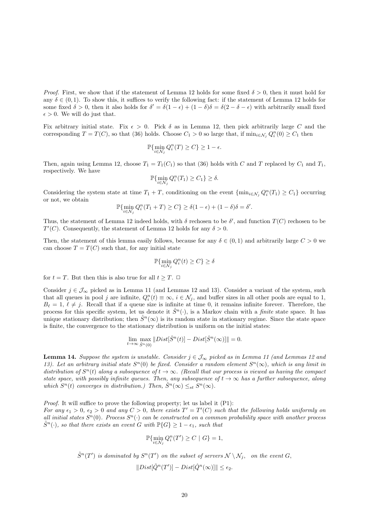*Proof.* First, we show that if the statement of Lemma 12 holds for some fixed  $\delta > 0$ , then it must hold for any  $\delta \in (0,1)$ . To show this, it suffices to verify the following fact: if the statement of Lemma 12 holds for some fixed  $\delta > 0$ , then it also holds for  $\delta' = \delta(1 - \epsilon) + (1 - \delta)\delta = \delta(2 - \delta - \epsilon)$  with arbitrarily small fixed  $\epsilon > 0$ . We will do just that.

Fix arbitrary initial state. Fix  $\epsilon > 0$ . Pick  $\delta$  as in Lemma 12, then pick arbitrarily large C and the corresponding  $T = T(C)$ , so that (36) holds. Choose  $C_1 > 0$  so large that, if  $\min_{i \in \mathcal{N}_j} Q_i^n(0) \ge C_1$  then

$$
\mathbb{P}\{\min_{i\in\mathcal{N}_i} Q_i^n(T) \ge C\} \ge 1 - \epsilon.
$$

Then, again using Lemma 12, choose  $T_1 = T_1(C_1)$  so that (36) holds with C and T replaced by  $C_1$  and  $T_1$ , respectively. We have

$$
\mathbb{P}\{\min_{i \in \mathcal{N}_i} Q_i^n(T_1) \ge C_1\} \ge \delta.
$$

Considering the system state at time  $T_1 + T$ , conditioning on the event  $\{\min_{i \in \mathcal{N}_j} Q_i^n(T_1) \geq C_1\}$  occurring or not, we obtain

$$
\mathbb{P}\{\min_{i\in\mathcal{N}_j} Q_i^n(T_1+T) \ge C\} \ge \delta(1-\epsilon) + (1-\delta)\delta = \delta'.
$$

Thus, the statement of Lemma 12 indeed holds, with  $\delta$  rechosen to be  $\delta'$ , and function  $T(C)$  rechosen to be  $T'(C)$ . Consequently, the statement of Lemma 12 holds for any  $\delta > 0$ .

Then, the statement of this lemma easily follows, because for any  $\delta \in (0,1)$  and arbitrarily large  $C > 0$  we can choose  $T = T(C)$  such that, for any initial state

$$
\mathbb{P}\{\min_{i \in \mathcal{N}_j} Q_i^n(t) \ge C\} \ge \delta
$$

for  $t = T$ . But then this is also true for all  $t \geq T$ .

Consider  $j \in \mathcal{J}_{\infty}$  picked as in Lemma 11 (and Lemmas 12 and 13). Consider a variant of the system, such that all queues in pool j are infinite,  $Q_i^n(t) \equiv \infty$ ,  $i \in \mathcal{N}_j$ , and buffer sizes in all other pools are equal to 1,  $B_\ell = 1, \ell \neq j$ . Recall that if a queue size is infinite at time 0, it remains infinite forever. Therefore, the process for this specific system, let us denote it  $\hat{S}^n(\cdot)$ , is a Markov chain with a *finite* state space. It has unique stationary distribution; then  $\hat{S}^n(\infty)$  is its random state in stationary regime. Since the state space is finite, the convergence to the stationary distribution is uniform on the initial states:

$$
\lim_{t \to \infty} \max_{\hat{S}^n(0)} \|Dist[\hat{S}^n(t)] - Dist[\hat{S}^n(\infty)]\| = 0.
$$

**Lemma 14.** Suppose the system is unstable. Consider  $j \in \mathcal{J}_{\infty}$  picked as in Lemma 11 (and Lemmas 12 and 13). Let an arbitrary initial state  $S<sup>n</sup>(0)$  be fixed. Consider a random element  $S<sup>n</sup>(\infty)$ , which is any limit in distribution of  $S<sup>n</sup>(t)$  along a subsequence of  $t \to \infty$ . (Recall that our process is viewed as having the compact state space, with possibly infinite queues. Then, any subsequence of  $t \to \infty$  has a further subsequence, along which  $S^n(t)$  converges in distribution.) Then,  $\hat{S}^n(\infty) \leq_{st} S^n(\infty)$ .

Proof. It will suffice to prove the following property; let us label it (P1): For any  $\epsilon_1 > 0$ ,  $\epsilon_2 > 0$  and any  $C > 0$ , there exists  $T' = T'(C)$  such that the following holds uniformly on all initial states  $S^n(0)$ . Process  $S^n(\cdot)$  can be constructed on a common probability space with another process  $\tilde{S}^n(\cdot)$ , so that there exists an event G with  $\mathbb{P}\{G\} \geq 1 - \epsilon_1$ , such that

$$
\mathbb{P}\{\min_{i \in \mathcal{N}_j} Q_i^n(T') \ge C \mid G\} = 1,
$$

$$
\tilde{S}^n(T') \text{ is dominated by } S^n(T') \text{ on the subset of servers } \mathcal{N} \setminus \mathcal{N}_j, \text{ on the event } G,
$$
  

$$
||Dist[\tilde{Q}^n(T')] - Dist[\hat{Q}^n(\infty)]|| \le \epsilon_2.
$$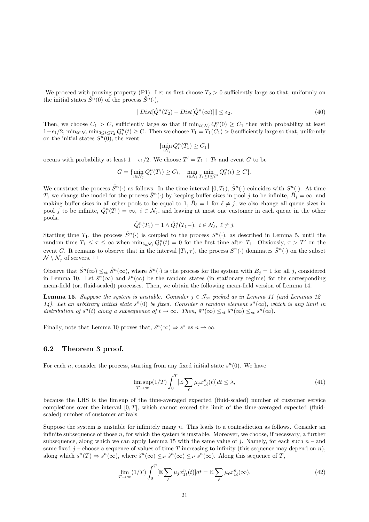We proceed with proving property (P1). Let us first choose  $T_2 > 0$  sufficiently large so that, uniformly on the initial states  $\hat{S}^n(0)$  of the process  $\hat{S}^n(\cdot)$ ,

$$
||Dist[\hat{Q}^n(T_2) - Dist[\hat{Q}^n(\infty)]|| \le \epsilon_2.
$$
\n(40)

Then, we choose  $C_1 > C$ , sufficiently large so that if  $\min_{i \in \mathcal{N}_j} Q_i^n(0) \geq C_1$  then with probability at least  $1-\epsilon_1/2$ ,  $\min_{i \in \mathcal{N}_j} \min_{0 \le t \le T_2} Q_i^n(t) \ge C$ . Then we choose  $T_1 = T_1(C_1) > 0$  sufficiently large so that, uniformly on the initial states  $S^{\overline{n}}(0)$ , the event

$$
\{\min_{i \mathcal{N}_j} Q_i^n(T_1) \ge C_1\}
$$

occurs with probability at least  $1 - \epsilon_1/2$ . We choose  $T' = T_1 + T_2$  and event G to be

$$
G = \{\min_{i \in \mathcal{N}_j} Q_i^n(T_1) \ge C_1, \quad \min_{i \in \mathcal{N}_j} \min_{T_1 \le t \le T'} Q_i^n(t) \ge C\}.
$$

We construct the process  $\tilde{S}^n(\cdot)$  as follows. In the time interval  $[0,T_1)$ ,  $\tilde{S}^n(\cdot)$  coincides with  $S^n(\cdot)$ . At time  $T_1$  we change the model for the process  $\tilde{S}^n(\cdot)$  by keeping buffer sizes in pool j to be infinite,  $\tilde{B}_j = \infty$ , and making buffer sizes in all other pools to be equal to 1,  $\tilde{B}_\ell = 1$  for  $\ell \neq j$ ; we also change all queue sizes in pool j to be infinite,  $\tilde{Q}_i^n(T_1) = \infty$ ,  $i \in \mathcal{N}_j$ , and leaving at most one customer in each queue in the other pools,

$$
\tilde{Q}_i^n(T_1) = 1 \wedge \tilde{Q}_i^n(T_1-), \ i \in \mathcal{N}_{\ell}, \ \ell \neq j.
$$

Starting time  $T_1$ , the process  $\tilde{S}^n(\cdot)$  is coupled to the process  $S^n(\cdot)$ , as described in Lemma 5, until the random time  $T_1 \leq \tau \leq \infty$  when  $\min_{i \in \mathcal{N}_j} Q_i^n(t) = 0$  for the first time after  $T_1$ . Obviously,  $\tau > T'$  on the event G. It remains to observe that in the interval  $[T_1, \tau)$ , the process  $S^n(\cdot)$  dominates  $\tilde{S}^n(\cdot)$  on the subset  $\mathcal{N} \setminus \mathcal{N}_i$  of servers.  $\Box$ 

Observe that  $\check{S}^n(\infty) \leq_{st} \hat{S}^n(\infty)$ , where  $\check{S}^n(\cdot)$  is the process for the system with  $B_i = 1$  for all j, considered in Lemma 10. Let  $\check{s}^n(\infty)$  and  $\hat{s}^n(\infty)$  be the random states (in stationary regime) for the corresponding mean-field (or, fluid-scaled) processes. Then, we obtain the following mean-field version of Lemma 14.

**Lemma 15.** Suppose the system is unstable. Consider  $j \in \mathcal{J}_{\infty}$  picked as in Lemma 11 (and Lemmas 12 – 14). Let an arbitrary initial state  $s^n(0)$  be fixed. Consider a random element  $s^n(\infty)$ , which is any limit in distribution of  $s^n(t)$  along a subsequence of  $t \to \infty$ . Then,  $\breve{s}^n(\infty) \leq_{st} \breve{s}^n(\infty) \leq_{st} s^n(\infty)$ .

Finally, note that Lemma 10 proves that,  $\ddot{s}^n(\infty) \Rightarrow s^*$  as  $n \to \infty$ .

### 6.2 Theorem 3 proof.

For each n, consider the process, starting from any fixed initial state  $s<sup>n</sup>(0)$ . We have

$$
\limsup_{T \to \infty} (1/T) \int_0^T \left[ \mathbb{E} \sum_{\ell} \mu_j x_{1\ell}^n(t) \right] dt \le \lambda,
$$
\n(41)

because the LHS is the lim sup of the time-averaged expected (fluid-scaled) number of customer service completions over the interval  $[0, T]$ , which cannot exceed the limit of the time-averaged expected (fluidscaled) number of customer arrivals.

Suppose the system is unstable for infinitely many  $n$ . This leads to a contradiction as follows. Consider an infinite subsequence of those  $n$ , for which the system is unstable. Moreover, we choose, if necessary, a further subsequence, along which we can apply Lemma 15 with the same value of j. Namely, for each such  $n-$  and same fixed j – choose a sequence of values of time T increasing to infinity (this sequence may depend on n), along which  $s^n(T) \Rightarrow s^n(\infty)$ , where  $\check{s}^n(\infty) \leq_{st} \hat{s}^n(\infty) \leq_{st} s^n(\infty)$ . Along this sequence of T,

$$
\lim_{T \to \infty} (1/T) \int_0^T \left[ \mathbb{E} \sum_{\ell} \mu_j x_{1\ell}^n(t) \right] dt = \mathbb{E} \sum_{\ell} \mu_\ell x_{1\ell}^n(\infty). \tag{42}
$$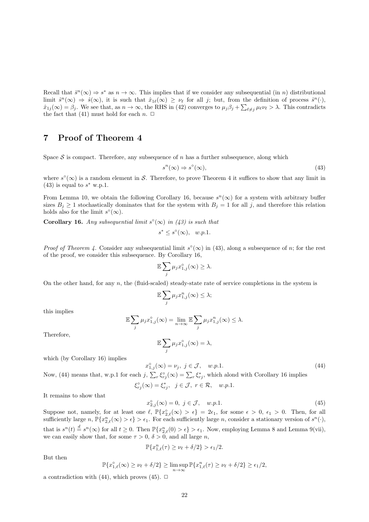Recall that  $\ddot{s}^n(\infty) \Rightarrow s^*$  as  $n \to \infty$ . This implies that if we consider any subsequential (in n) distributional limit  $\hat{s}^n(\infty) \Rightarrow \hat{s}(\infty)$ , it is such that  $\hat{x}_{1\ell}(\infty) \geq \nu_{\ell}$  for all j; but, from the definition of process  $\hat{s}^n(\cdot)$ ,  $\hat{x}_{1j}(\infty) = \beta_j$ . We see that, as  $n \to \infty$ , the RHS in (42) converges to  $\mu_j \beta_j + \sum_{\ell \neq j} \mu_\ell \nu_\ell > \lambda$ . This contradicts the fact that (41) must hold for each  $n. \Box$ 

# 7 Proof of Theorem 4

Space  $S$  is compact. Therefore, any subsequence of n has a further subsequence, along which

$$
s^n(\infty) \Rightarrow s^\circ(\infty),\tag{43}
$$

where  $s^{\circ}(\infty)$  is a random element in S. Therefore, to prove Theorem 4 it suffices to show that any limit in  $(43)$  is equal to  $s^*$  w.p.1.

From Lemma 10, we obtain the following Corollary 16, because  $s<sup>n</sup>(\infty)$  for a system with arbitrary buffer sizes  $B_j \geq 1$  stochastically dominates that for the system with  $B_j = 1$  for all j, and therefore this relation holds also for the limit  $s^{\circ}(\infty)$ .

**Corollary 16.** Any subsequential limit  $s^{\circ}(\infty)$  in (43) is such that

$$
s^* \le s^\circ(\infty), \quad w.p.1.
$$

*Proof of Theorem 4.* Consider any subsequential limit  $s^{\circ}(\infty)$  in (43), along a subsequence of *n*; for the rest of the proof, we consider this subsequence. By Corollary 16,

$$
\mathbb{E}\sum_{j}\mu_{j}x_{1,j}^{\circ}(\infty)\geq\lambda.
$$

On the other hand, for any  $n$ , the (fluid-scaled) steady-state rate of service completions in the system is

$$
\mathbb{E}\sum_{j}\mu_{j}x_{1,j}^{n}(\infty)\leq\lambda;
$$

this implies

$$
\mathbb{E}\sum_{j}\mu_{j}x_{1,j}^{\circ}(\infty)=\lim_{n\to\infty}\mathbb{E}\sum_{j}\mu_{j}x_{1,j}^{n}(\infty)\leq\lambda.
$$

Therefore,

$$
\mathbb{E}\sum_{j}\mu_{j}x_{1,j}^{\circ}(\infty)=\lambda,
$$

which (by Corollary 16) implies

Now, (44) means that, w.p.1 for each 
$$
j, \sum_r \xi_{rj}^{\circ}(\infty) = \sum_r \xi_{rj}^*
$$
, which along with Corollary 16 implies  

$$
\xi_{rj}^{\circ}(\infty) = \xi_{rj}^*, \quad j \in \mathcal{J}, \quad r \in \mathcal{R}, \quad w.p.1.
$$

$$
(44)
$$

It remains to show that

$$
x_{2,j}^{\circ}(\infty) = 0, \ j \in \mathcal{J}, \quad w.p.1. \tag{45}
$$

Suppose not, namely, for at least one  $\ell$ ,  $\mathbb{P}\lbrace x_{2,\ell}^{\circ}(\infty) > \epsilon \rbrace = 2\epsilon_1$ , for some  $\epsilon > 0$ ,  $\epsilon_1 > 0$ . Then, for all sufficiently large  $n, \mathbb{P}\{x_{2,\ell}^n(\infty) > \epsilon\} > \epsilon_1$ . For each sufficiently large n, consider a stationary version of  $s^n(\cdot)$ , that is  $s^n(t) \stackrel{d}{=} s^n(\infty)$  for all  $t \geq 0$ . Then  $\mathbb{P}\{x_{2,\ell}^n(0) > \epsilon\} > \epsilon_1$ . Now, employing Lemma 8 and Lemma 9(vii), we can easily show that, for some  $\tau > 0$ ,  $\delta > 0$ , and all large n,

$$
\mathbb{P}\{x_{1,\ell}^n(\tau) \ge \nu_\ell + \delta/2\} > \epsilon_1/2.
$$

But then

$$
\mathbb{P}\{x_{1,\ell}^{\circ}(\infty) \ge \nu_{\ell} + \delta/2\} \ge \limsup_{n \to \infty} \mathbb{P}\{x_{1,\ell}^n(\tau) \ge \nu_{\ell} + \delta/2\} \ge \epsilon_1/2,
$$

a contradiction with (44), which proves (45).  $\Box$